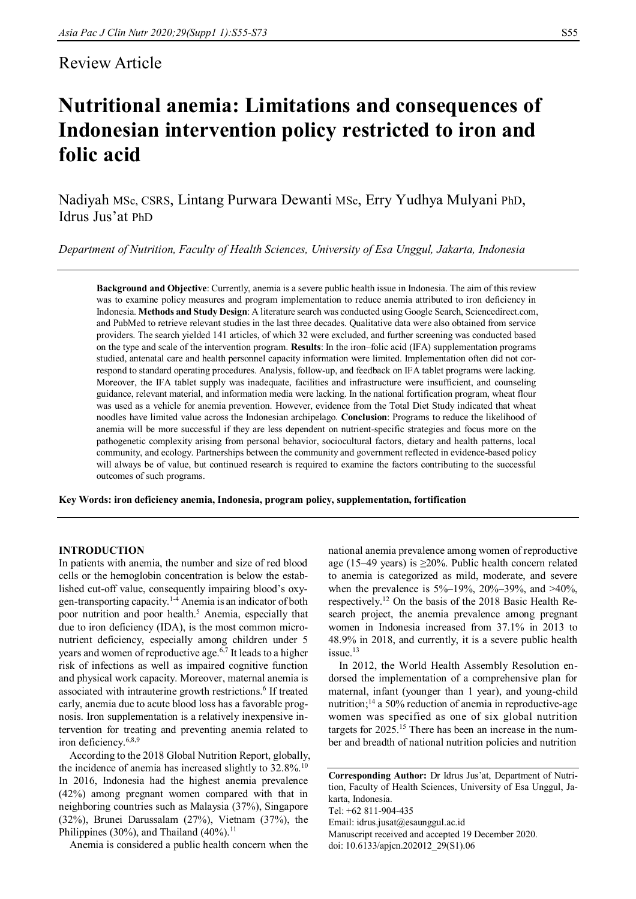# Review Article

# **Nutritional anemia: Limitations and consequences of Indonesian intervention policy restricted to iron and folic acid**

Nadiyah MSc, CSRS, Lintang Purwara Dewanti MSc, Erry Yudhya Mulyani PhD, Idrus Jus'at PhD

*Department of Nutrition, Faculty of Health Sciences, University of Esa Unggul, Jakarta, Indonesia*

**Background and Objective**: Currently, anemia is a severe public health issue in Indonesia. The aim of this review was to examine policy measures and program implementation to reduce anemia attributed to iron deficiency in Indonesia. **Methods and Study Design**: A literature search was conducted using Google Search, Sciencedirect.com, and PubMed to retrieve relevant studies in the last three decades. Qualitative data were also obtained from service providers. The search yielded 141 articles, of which 32 were excluded, and further screening was conducted based on the type and scale of the intervention program. **Results**: In the iron–folic acid (IFA) supplementation programs studied, antenatal care and health personnel capacity information were limited. Implementation often did not correspond to standard operating procedures. Analysis, follow-up, and feedback on IFA tablet programs were lacking. Moreover, the IFA tablet supply was inadequate, facilities and infrastructure were insufficient, and counseling guidance, relevant material, and information media were lacking. In the national fortification program, wheat flour was used as a vehicle for anemia prevention. However, evidence from the Total Diet Study indicated that wheat noodles have limited value across the Indonesian archipelago. **Conclusion**: Programs to reduce the likelihood of anemia will be more successful if they are less dependent on nutrient-specific strategies and focus more on the pathogenetic complexity arising from personal behavior, sociocultural factors, dietary and health patterns, local community, and ecology. Partnerships between the community and government reflected in evidence-based policy will always be of value, but continued research is required to examine the factors contributing to the successful outcomes of such programs.

**Key Words: iron deficiency anemia, Indonesia, program policy, supplementation, fortification**

# **INTRODUCTION**

In patients with anemia, the number and size of red blood cells or the hemoglobin concentration is below the established cut-off value, consequently impairing blood's oxygen-transporting capacity.1-4 Anemia is an indicator of both poor nutrition and poor health.<sup>5</sup> Anemia, especially that due to iron deficiency (IDA), is the most common micronutrient deficiency, especially among children under 5 years and women of reproductive age.<sup>6,7</sup> It leads to a higher risk of infections as well as impaired cognitive function and physical work capacity. Moreover, maternal anemia is associated with intrauterine growth restrictions.<sup>6</sup> If treated early, anemia due to acute blood loss has a favorable prognosis. Iron supplementation is a relatively inexpensive intervention for treating and preventing anemia related to iron deficiency.6,8,9

According to the 2018 Global Nutrition Report, globally, the incidence of anemia has increased slightly to  $32.8\%$ .<sup>10</sup> In 2016, Indonesia had the highest anemia prevalence (42%) among pregnant women compared with that in neighboring countries such as Malaysia (37%), Singapore (32%), Brunei Darussalam (27%), Vietnam (37%), the Philippines (30%), and Thailand (40%).<sup>11</sup>

Anemia is considered a public health concern when the

national anemia prevalence among women of reproductive age (15–49 years) is  $\geq$ 20%. Public health concern related to anemia is categorized as mild, moderate, and severe when the prevalence is 5%–19%, 20%–39%, and >40%, respectively.<sup>12</sup> On the basis of the 2018 Basic Health Research project, the anemia prevalence among pregnant women in Indonesia increased from 37.1% in 2013 to 48.9% in 2018, and currently, it is a severe public health issue.<sup>13</sup>

In 2012, the World Health Assembly Resolution endorsed the implementation of a comprehensive plan for maternal, infant (younger than 1 year), and young-child nutrition;<sup>14</sup> a 50% reduction of anemia in reproductive-age women was specified as one of six global nutrition targets for 2025.<sup>15</sup> There has been an increase in the number and breadth of national nutrition policies and nutrition

Email: idrus.jusat@esaunggul.ac.id

Manuscript received and accepted 19 December 2020.

doi: 10.6133/apjcn.202012\_29(S1).06

**Corresponding Author:** Dr Idrus Jus'at, Department of Nutrition, Faculty of Health Sciences, University of Esa Unggul, Jakarta, Indonesia.

Tel: +62 811-904-435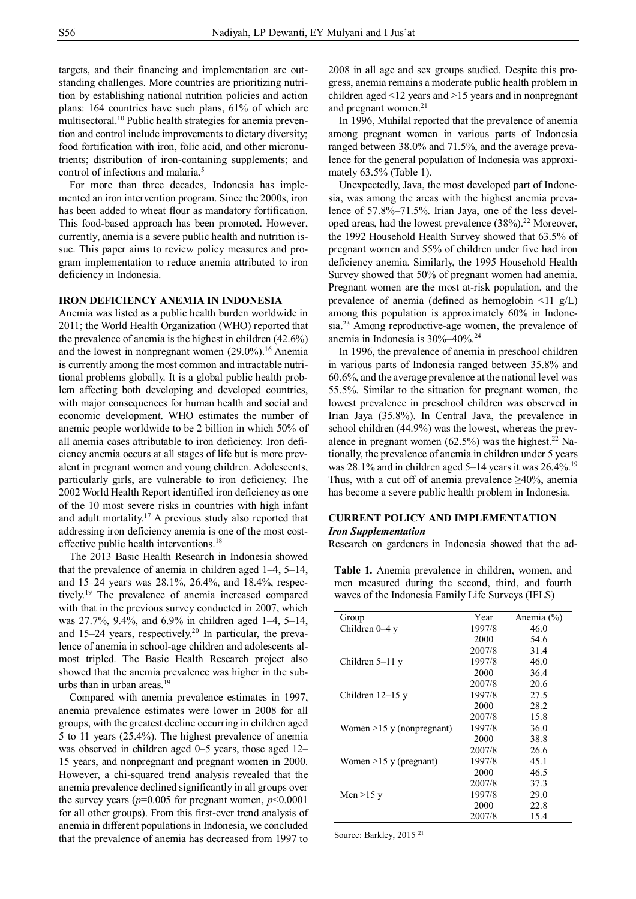targets, and their financing and implementation are outstanding challenges. More countries are prioritizing nutrition by establishing national nutrition policies and action plans: 164 countries have such plans, 61% of which are multisectoral.<sup>10</sup> Public health strategies for anemia prevention and control include improvements to dietary diversity; food fortification with iron, folic acid, and other micronutrients; distribution of iron-containing supplements; and control of infections and malaria.<sup>5</sup>

For more than three decades, Indonesia has implemented an iron intervention program. Since the 2000s, iron has been added to wheat flour as mandatory fortification. This food-based approach has been promoted. However, currently, anemia is a severe public health and nutrition issue. This paper aims to review policy measures and program implementation to reduce anemia attributed to iron deficiency in Indonesia.

# **IRON DEFICIENCY ANEMIA IN INDONESIA**

Anemia was listed as a public health burden worldwide in 2011; the World Health Organization (WHO) reported that the prevalence of anemia is the highest in children (42.6%) and the lowest in nonpregnant women  $(29.0\%)$ .<sup>16</sup> Anemia is currently among the most common and intractable nutritional problems globally. It is a global public health problem affecting both developing and developed countries, with major consequences for human health and social and economic development. WHO estimates the number of anemic people worldwide to be 2 billion in which 50% of all anemia cases attributable to iron deficiency. Iron deficiency anemia occurs at all stages of life but is more prevalent in pregnant women and young children. Adolescents, particularly girls, are vulnerable to iron deficiency. The 2002 World Health Report identified iron deficiency as one of the 10 most severe risks in countries with high infant and adult mortality.<sup>17</sup> A previous study also reported that addressing iron deficiency anemia is one of the most costeffective public health interventions.<sup>18</sup>

The 2013 Basic Health Research in Indonesia showed that the prevalence of anemia in children aged 1–4, 5–14, and 15–24 years was 28.1%, 26.4%, and 18.4%, respectively.<sup>19</sup> The prevalence of anemia increased compared with that in the previous survey conducted in 2007, which was 27.7%, 9.4%, and 6.9% in children aged 1–4, 5–14, and 15–24 years, respectively.<sup>20</sup> In particular, the prevalence of anemia in school-age children and adolescents almost tripled. The Basic Health Research project also showed that the anemia prevalence was higher in the suburbs than in urban areas.<sup>19</sup>

Compared with anemia prevalence estimates in 1997, anemia prevalence estimates were lower in 2008 for all groups, with the greatest decline occurring in children aged 5 to 11 years (25.4%). The highest prevalence of anemia was observed in children aged 0–5 years, those aged 12– 15 years, and nonpregnant and pregnant women in 2000. However, a chi-squared trend analysis revealed that the anemia prevalence declined significantly in all groups over the survey years ( $p=0.005$  for pregnant women,  $p<0.0001$ for all other groups). From this first-ever trend analysis of anemia in different populations in Indonesia, we concluded that the prevalence of anemia has decreased from 1997 to

2008 in all age and sex groups studied. Despite this progress, anemia remains a moderate public health problem in children aged <12 years and >15 years and in nonpregnant and pregnant women.<sup>21</sup>

In 1996, Muhilal reported that the prevalence of anemia among pregnant women in various parts of Indonesia ranged between 38.0% and 71.5%, and the average prevalence for the general population of Indonesia was approximately 63.5% (Table 1).

Unexpectedly, Java, the most developed part of Indonesia, was among the areas with the highest anemia prevalence of 57.8%–71.5%. Irian Jaya, one of the less developed areas, had the lowest prevalence (38%).<sup>22</sup> Moreover, the 1992 Household Health Survey showed that 63.5% of pregnant women and 55% of children under five had iron deficiency anemia. Similarly, the 1995 Household Health Survey showed that 50% of pregnant women had anemia. Pregnant women are the most at-risk population, and the prevalence of anemia (defined as hemoglobin  $\leq 11$  g/L) among this population is approximately 60% in Indonesia.<sup>23</sup> Among reproductive-age women, the prevalence of anemia in Indonesia is 30%–40%.<sup>24</sup>

In 1996, the prevalence of anemia in preschool children in various parts of Indonesia ranged between 35.8% and 60.6%, and the average prevalence at the national level was 55.5%. Similar to the situation for pregnant women, the lowest prevalence in preschool children was observed in Irian Jaya (35.8%). In Central Java, the prevalence in school children (44.9%) was the lowest, whereas the prevalence in pregnant women  $(62.5\%)$  was the highest.<sup>22</sup> Nationally, the prevalence of anemia in children under 5 years was 28.1% and in children aged 5–14 years it was  $26.4\%$ .<sup>19</sup> Thus, with a cut off of anemia prevalence  $\geq 40\%$ , anemia has become a severe public health problem in Indonesia.

# **CURRENT POLICY AND IMPLEMENTATION** *Iron Supplementation*

Research on gardeners in Indonesia showed that the ad-

**Table 1.** Anemia prevalence in children, women, and men measured during the second, third, and fourth waves of the Indonesia Family Life Surveys (IFLS)

| Group                       | Year   | Anemia $(\% )$ |
|-----------------------------|--------|----------------|
| Children $0-4y$             | 1997/8 | 46.0           |
|                             | 2000   | 54.6           |
|                             | 2007/8 | 31.4           |
| Children $5-11$ y           | 1997/8 | 46.0           |
|                             | 2000   | 36.4           |
|                             | 2007/8 | 20.6           |
| Children $12-15$ y          | 1997/8 | 27.5           |
|                             | 2000   | 28.2           |
|                             | 2007/8 | 15.8           |
| Women $>15$ y (nonpregnant) | 1997/8 | 36.0           |
|                             | 2000   | 38.8           |
|                             | 2007/8 | 26.6           |
| Women $>15$ y (pregnant)    | 1997/8 | 45.1           |
|                             | 2000   | 46.5           |
|                             | 2007/8 | 37.3           |
| Men $>15$ y                 | 1997/8 | 29.0           |
|                             | 2000   | 22.8           |
|                             | 2007/8 | 15.4           |

Source: Barkley, 2015 <sup>21</sup>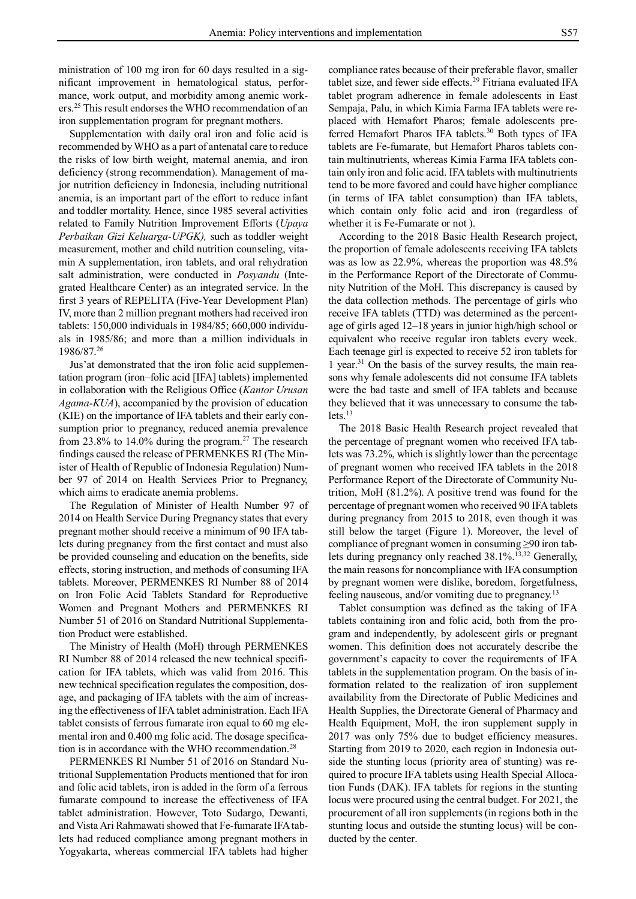ministration of 100 mg iron for 60 days resulted in a significant improvement in hematological status, performance, work output, and morbidity among anemic workers.<sup>25</sup> This result endorses the WHO recommendation of an iron supplementation program for pregnant mothers.

Supplementation with daily oral iron and folic acid is recommended by WHO as a part of antenatal care to reduce the risks of low birth weight, maternal anemia, and iron deficiency (strong recommendation). Management of major nutrition deficiency in Indonesia, including nutritional anemia, is an important part of the effort to reduce infant and toddler mortality. Hence, since 1985 several activities related to Family Nutrition Improvement Efforts (*Upaya Perbaikan Gizi Keluarga-UPGK),* such as toddler weight measurement, mother and child nutrition counseling, vitamin A supplementation, iron tablets, and oral rehydration salt administration, were conducted in *Posyandu* (Integrated Healthcare Center) as an integrated service. In the first 3 years of REPELITA (Five-Year Development Plan) IV, more than 2 million pregnant mothers had received iron tablets: 150,000 individuals in 1984/85; 660,000 individuals in 1985/86; and more than a million individuals in 1986/87.<sup>26</sup>

Jus'at demonstrated that the iron folic acid supplementation program (iron–folic acid [IFA] tablets) implemented in collaboration with the Religious Office (*Kantor Urusan Agama-KUA*), accompanied by the provision of education (KIE) on the importance of IFA tablets and their early consumption prior to pregnancy, reduced anemia prevalence from 23.8% to 14.0% during the program.<sup>27</sup> The research findings caused the release of PERMENKES RI (The Minister of Health of Republic of Indonesia Regulation) Number 97 of 2014 on Health Services Prior to Pregnancy, which aims to eradicate anemia problems.

The Regulation of Minister of Health Number 97 of 2014 on Health Service During Pregnancy states that every pregnant mother should receive a minimum of 90 IFA tablets during pregnancy from the first contact and must also be provided counseling and education on the benefits, side effects, storing instruction, and methods of consuming IFA tablets. Moreover, PERMENKES RI Number 88 of 2014 on Iron Folic Acid Tablets Standard for Reproductive Women and Pregnant Mothers and PERMENKES RI Number 51 of 2016 on Standard Nutritional Supplementation Product were established.

The Ministry of Health (MoH) through PERMENKES RI Number 88 of 2014 released the new technical specification for IFA tablets, which was valid from 2016. This new technical specification regulates the composition, dosage, and packaging of IFA tablets with the aim of increasing the effectiveness of IFA tablet administration. Each IFA tablet consists of ferrous fumarate iron equal to 60 mg elemental iron and 0.400 mg folic acid. The dosage specification is in accordance with the WHO recommendation.<sup>28</sup>

PERMENKES RI Number 51 of 2016 on Standard Nutritional Supplementation Products mentioned that for iron and folic acid tablets, iron is added in the form of a ferrous fumarate compound to increase the effectiveness of IFA tablet administration. However, Toto Sudargo, Dewanti, and Vista Ari Rahmawati showed that Fe-fumarate IFA tablets had reduced compliance among pregnant mothers in Yogyakarta, whereas commercial IFA tablets had higher

compliance rates because of their preferable flavor, smaller tablet size, and fewer side effects.<sup>29</sup> Fitriana evaluated IFA tablet program adherence in female adolescents in East Sempaja, Palu, in which Kimia Farma IFA tablets were replaced with Hemafort Pharos; female adolescents preferred Hemafort Pharos IFA tablets.<sup>30</sup> Both types of IFA tablets are Fe-fumarate, but Hemafort Pharos tablets contain multinutrients, whereas Kimia Farma IFA tablets contain only iron and folic acid. IFA tablets with multinutrients tend to be more favored and could have higher compliance (in terms of IFA tablet consumption) than IFA tablets, which contain only folic acid and iron (regardless of whether it is Fe-Fumarate or not ).

According to the 2018 Basic Health Research project, the proportion of female adolescents receiving IFA tablets was as low as 22.9%, whereas the proportion was 48.5% in the Performance Report of the Directorate of Community Nutrition of the MoH. This discrepancy is caused by the data collection methods. The percentage of girls who receive IFA tablets (TTD) was determined as the percentage of girls aged 12–18 years in junior high/high school or equivalent who receive regular iron tablets every week. Each teenage girl is expected to receive 52 iron tablets for 1 year.<sup>31</sup> On the basis of the survey results, the main reasons why female adolescents did not consume IFA tablets were the bad taste and smell of IFA tablets and because they believed that it was unnecessary to consume the tab $lets.<sup>13</sup>$ 

The 2018 Basic Health Research project revealed that the percentage of pregnant women who received IFA tablets was 73.2%, which is slightly lower than the percentage of pregnant women who received IFA tablets in the 2018 Performance Report of the Directorate of Community Nutrition, MoH (81.2%). A positive trend was found for the percentage of pregnant women who received 90 IFA tablets during pregnancy from 2015 to 2018, even though it was still below the target (Figure 1). Moreover, the level of compliance of pregnant women in consuming ≥90 iron tablets during pregnancy only reached 38.1%.<sup>13,32</sup> Generally, the main reasons for noncompliance with IFA consumption by pregnant women were dislike, boredom, forgetfulness, feeling nauseous, and/or vomiting due to pregnancy.<sup>13</sup>

Tablet consumption was defined as the taking of IFA tablets containing iron and folic acid, both from the program and independently, by adolescent girls or pregnant women. This definition does not accurately describe the government's capacity to cover the requirements of IFA tablets in the supplementation program. On the basis of information related to the realization of iron supplement availability from the Directorate of Public Medicines and Health Supplies, the Directorate General of Pharmacy and Health Equipment, MoH, the iron supplement supply in 2017 was only 75% due to budget efficiency measures. Starting from 2019 to 2020, each region in Indonesia outside the stunting locus (priority area of stunting) was required to procure IFA tablets using Health Special Allocation Funds (DAK). IFA tablets for regions in the stunting locus were procured using the central budget. For 2021, the procurement of all iron supplements (in regions both in the stunting locus and outside the stunting locus) will be conducted by the center.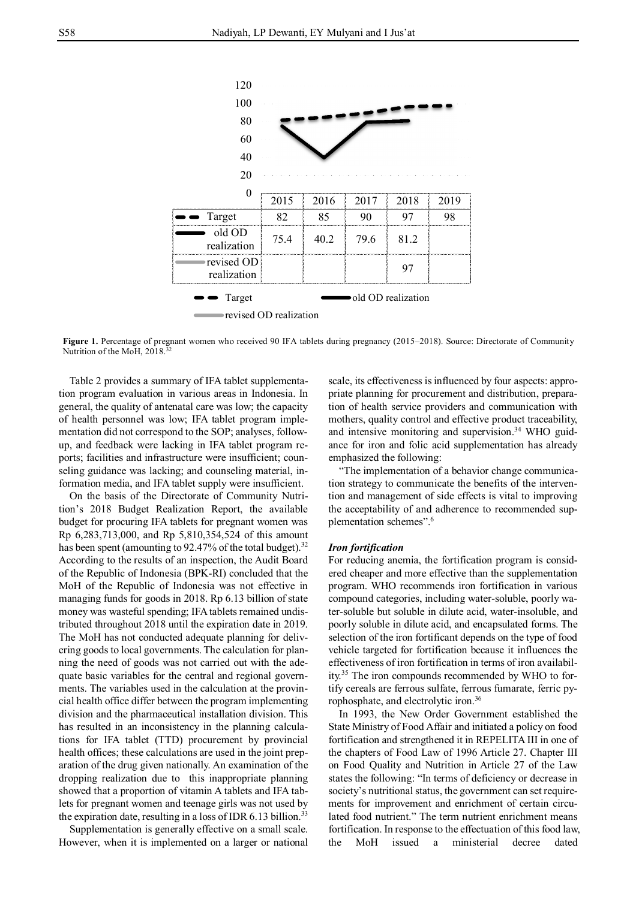

Figure 1. Percentage of pregnant women who received 90 IFA tablets during pregnancy (2015–2018). Source: Directorate of Community Nutrition of the MoH, 2018.<sup>32</sup>

Table 2 provides a summary of IFA tablet supplementation program evaluation in various areas in Indonesia. In general, the quality of antenatal care was low; the capacity of health personnel was low; IFA tablet program implementation did not correspond to the SOP; analyses, followup, and feedback were lacking in IFA tablet program reports; facilities and infrastructure were insufficient; counseling guidance was lacking; and counseling material, information media, and IFA tablet supply were insufficient.

On the basis of the Directorate of Community Nutrition's 2018 Budget Realization Report, the available budget for procuring IFA tablets for pregnant women was Rp 6,283,713,000, and Rp 5,810,354,524 of this amount has been spent (amounting to 92.47% of the total budget).<sup>32</sup> According to the results of an inspection, the Audit Board of the Republic of Indonesia (BPK-RI) concluded that the MoH of the Republic of Indonesia was not effective in managing funds for goods in 2018. Rp 6.13 billion of state money was wasteful spending; IFA tablets remained undistributed throughout 2018 until the expiration date in 2019. The MoH has not conducted adequate planning for delivering goods to local governments. The calculation for planning the need of goods was not carried out with the adequate basic variables for the central and regional governments. The variables used in the calculation at the provincial health office differ between the program implementing division and the pharmaceutical installation division. This has resulted in an inconsistency in the planning calculations for IFA tablet (TTD) procurement by provincial health offices; these calculations are used in the joint preparation of the drug given nationally. An examination of the dropping realization due to this inappropriate planning showed that a proportion of vitamin A tablets and IFA tablets for pregnant women and teenage girls was not used by the expiration date, resulting in a loss of IDR  $6.13$  billion.<sup>33</sup>

Supplementation is generally effective on a small scale. However, when it is implemented on a larger or national scale, its effectiveness is influenced by four aspects: appropriate planning for procurement and distribution, preparation of health service providers and communication with mothers, quality control and effective product traceability, and intensive monitoring and supervision. <sup>34</sup> WHO guidance for iron and folic acid supplementation has already emphasized the following:

"The implementation of a behavior change communication strategy to communicate the benefits of the intervention and management of side effects is vital to improving the acceptability of and adherence to recommended supplementation schemes". 6

#### *Iron fortification*

For reducing anemia, the fortification program is considered cheaper and more effective than the supplementation program. WHO recommends iron fortification in various compound categories, including water-soluble, poorly water-soluble but soluble in dilute acid, water-insoluble, and poorly soluble in dilute acid, and encapsulated forms. The selection of the iron fortificant depends on the type of food vehicle targeted for fortification because it influences the effectiveness of iron fortification in terms of iron availability.<sup>35</sup> The iron compounds recommended by WHO to fortify cereals are ferrous sulfate, ferrous fumarate, ferric pyrophosphate, and electrolytic iron.<sup>36</sup>

In 1993, the New Order Government established the State Ministry of Food Affair and initiated a policy on food fortification and strengthened it in REPELITA III in one of the chapters of Food Law of 1996 Article 27. Chapter III on Food Quality and Nutrition in Article 27 of the Law states the following: "In terms of deficiency or decrease in society's nutritional status, the government can set requirements for improvement and enrichment of certain circulated food nutrient." The term nutrient enrichment means fortification. In response to the effectuation of this food law, the MoH issued a ministerial decree dated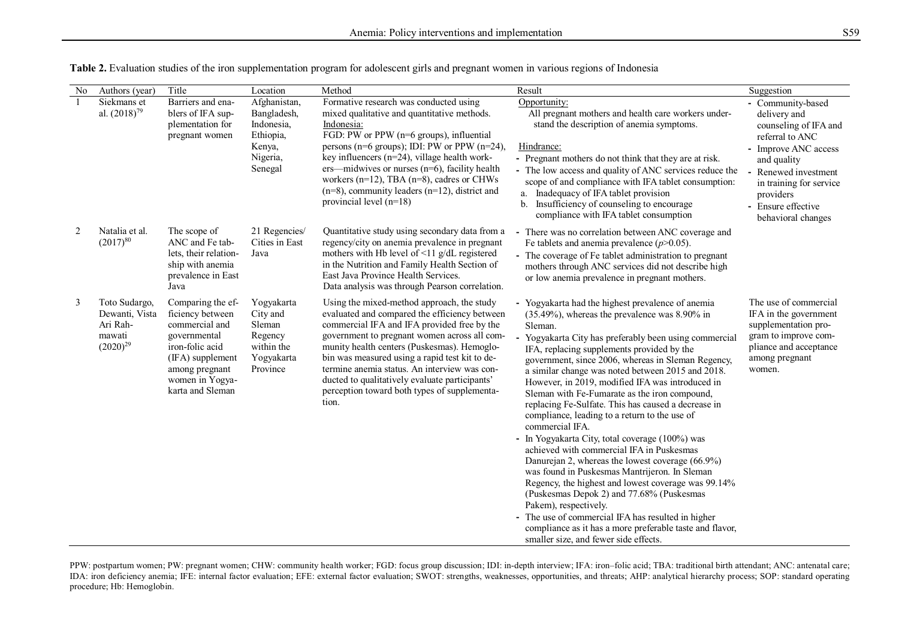| No | Authors (year)                                                         | Title                                                                                                                                                                   | Location                                                                                | Method                                                                                                                                                                                                                                                                                                                                                                                                                                                 | Result                                                                                                                                                                                                                                                                                                                                                                                                                                                                                                                                                                                                                                                                                                                                                                                                                                                                                                                                                                                                                                                          | Suggestion                                                                                                                                                                                                                     |
|----|------------------------------------------------------------------------|-------------------------------------------------------------------------------------------------------------------------------------------------------------------------|-----------------------------------------------------------------------------------------|--------------------------------------------------------------------------------------------------------------------------------------------------------------------------------------------------------------------------------------------------------------------------------------------------------------------------------------------------------------------------------------------------------------------------------------------------------|-----------------------------------------------------------------------------------------------------------------------------------------------------------------------------------------------------------------------------------------------------------------------------------------------------------------------------------------------------------------------------------------------------------------------------------------------------------------------------------------------------------------------------------------------------------------------------------------------------------------------------------------------------------------------------------------------------------------------------------------------------------------------------------------------------------------------------------------------------------------------------------------------------------------------------------------------------------------------------------------------------------------------------------------------------------------|--------------------------------------------------------------------------------------------------------------------------------------------------------------------------------------------------------------------------------|
|    | Siekmans et<br>al. $(2018)^{79}$                                       | Barriers and ena-<br>blers of IFA sup-<br>plementation for<br>pregnant women                                                                                            | Afghanistan,<br>Bangladesh,<br>Indonesia,<br>Ethiopia,<br>Kenya,<br>Nigeria,<br>Senegal | Formative research was conducted using<br>mixed qualitative and quantitative methods.<br>Indonesia:<br>FGD: PW or PPW (n=6 groups), influential<br>persons ( $n=6$ groups); IDI: PW or PPW ( $n=24$ ),<br>key influencers ( $n=24$ ), village health work-<br>ers-midwives or nurses (n=6), facility health<br>workers ( $n=12$ ), TBA ( $n=8$ ), cadres or CHWs<br>$(n=8)$ , community leaders $(n=12)$ , district and<br>provincial level $(n=18)$   | Opportunity:<br>All pregnant mothers and health care workers under-<br>stand the description of anemia symptoms.<br>Hindrance:<br>- Pregnant mothers do not think that they are at risk.<br>- The low access and quality of ANC services reduce the<br>scope of and compliance with IFA tablet consumption:<br>Inadequacy of IFA tablet provision<br>a.<br>b. Insufficiency of counseling to encourage<br>compliance with IFA tablet consumption                                                                                                                                                                                                                                                                                                                                                                                                                                                                                                                                                                                                                | - Community-based<br>delivery and<br>counseling of IFA and<br>referral to ANC<br>- Improve ANC access<br>and quality<br>Renewed investment<br>in training for service<br>providers<br>- Ensure effective<br>behavioral changes |
| 2  | Natalia et al.<br>$(2017)^{80}$                                        | The scope of<br>ANC and Fe tab-<br>lets, their relation-<br>ship with anemia<br>prevalence in East<br>Java                                                              | 21 Regencies/<br>Cities in East<br>Java                                                 | Quantitative study using secondary data from a<br>regency/city on anemia prevalence in pregnant<br>mothers with Hb level of $\leq$ 11 g/dL registered<br>in the Nutrition and Family Health Section of<br>East Java Province Health Services.<br>Data analysis was through Pearson correlation.                                                                                                                                                        | - There was no correlation between ANC coverage and<br>Fe tablets and anemia prevalence $(p>0.05)$ .<br>- The coverage of Fe tablet administration to pregnant<br>mothers through ANC services did not describe high<br>or low anemia prevalence in pregnant mothers.                                                                                                                                                                                                                                                                                                                                                                                                                                                                                                                                                                                                                                                                                                                                                                                           |                                                                                                                                                                                                                                |
| 3  | Toto Sudargo,<br>Dewanti, Vista<br>Ari Rah-<br>mawati<br>$(2020)^{29}$ | Comparing the ef-<br>ficiency between<br>commercial and<br>governmental<br>iron-folic acid<br>(IFA) supplement<br>among pregnant<br>women in Yogya-<br>karta and Sleman | Yogyakarta<br>City and<br>Sleman<br>Regency<br>within the<br>Yogyakarta<br>Province     | Using the mixed-method approach, the study<br>evaluated and compared the efficiency between<br>commercial IFA and IFA provided free by the<br>government to pregnant women across all com-<br>munity health centers (Puskesmas). Hemoglo-<br>bin was measured using a rapid test kit to de-<br>termine anemia status. An interview was con-<br>ducted to qualitatively evaluate participants'<br>perception toward both types of supplementa-<br>tion. | - Yogyakarta had the highest prevalence of anemia<br>$(35.49\%)$ , whereas the prevalence was 8.90% in<br>Sleman.<br>Yogyakarta City has preferably been using commercial<br>IFA, replacing supplements provided by the<br>government, since 2006, whereas in Sleman Regency,<br>a similar change was noted between 2015 and 2018.<br>However, in 2019, modified IFA was introduced in<br>Sleman with Fe-Fumarate as the iron compound,<br>replacing Fe-Sulfate. This has caused a decrease in<br>compliance, leading to a return to the use of<br>commercial IFA.<br>- In Yogyakarta City, total coverage (100%) was<br>achieved with commercial IFA in Puskesmas<br>Danurejan 2, whereas the lowest coverage (66.9%)<br>was found in Puskesmas Mantrijeron. In Sleman<br>Regency, the highest and lowest coverage was 99.14%<br>(Puskesmas Depok 2) and 77.68% (Puskesmas<br>Pakem), respectively.<br>- The use of commercial IFA has resulted in higher<br>compliance as it has a more preferable taste and flavor,<br>smaller size, and fewer side effects. | The use of commercial<br>IFA in the government<br>supplementation pro-<br>gram to improve com-<br>pliance and acceptance<br>among pregnant<br>women.                                                                           |

**Table 2.** Evaluation studies of the iron supplementation program for adolescent girls and pregnant women in various regions of Indonesia

PPW: postpartum women; PW: pregnant women; CHW: community health worker; FGD: focus group discussion; IDI: in‐depth interview; IFA: iron–folic acid; TBA: traditional birth attendant; ANC: antenatal care; IDA: iron deficiency anemia; IFE: internal factor evaluation; EFE: external factor evaluation; SWOT: strengths, weaknesses, opportunities, and threats; AHP: analytical hierarchy process; SOP: standard operating procedure; Hb: Hemoglobin.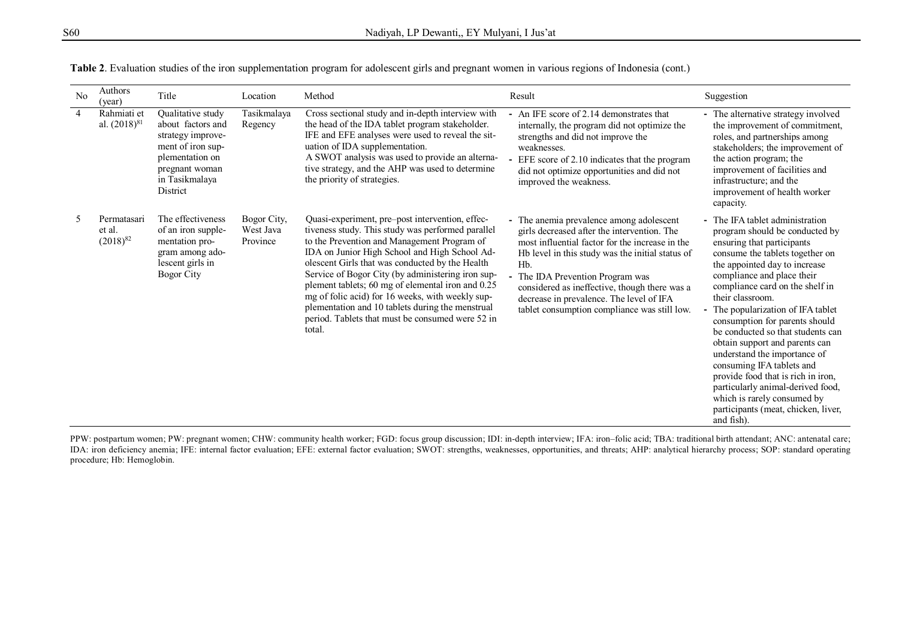| No             | Authors<br>(year)                      | Title                                                                                                                                               | Location                             | Method                                                                                                                                                                                                                                                                                                                                                                                                                                                                                                                                  | Result                                                                                                                                                                                                                                                                                                                                                                                              | Suggestion                                                                                                                                                                                                                                                                                                                                                                                                                                                                                                                                                                                                                          |
|----------------|----------------------------------------|-----------------------------------------------------------------------------------------------------------------------------------------------------|--------------------------------------|-----------------------------------------------------------------------------------------------------------------------------------------------------------------------------------------------------------------------------------------------------------------------------------------------------------------------------------------------------------------------------------------------------------------------------------------------------------------------------------------------------------------------------------------|-----------------------------------------------------------------------------------------------------------------------------------------------------------------------------------------------------------------------------------------------------------------------------------------------------------------------------------------------------------------------------------------------------|-------------------------------------------------------------------------------------------------------------------------------------------------------------------------------------------------------------------------------------------------------------------------------------------------------------------------------------------------------------------------------------------------------------------------------------------------------------------------------------------------------------------------------------------------------------------------------------------------------------------------------------|
| $\overline{4}$ | Rahmiati et<br>al. $(2018)^{81}$       | Qualitative study<br>about factors and<br>strategy improve-<br>ment of iron sup-<br>plementation on<br>pregnant woman<br>in Tasikmalaya<br>District | Tasikmalaya<br>Regency               | Cross sectional study and in-depth interview with<br>the head of the IDA tablet program stakeholder.<br>IFE and EFE analyses were used to reveal the sit-<br>uation of IDA supplementation.<br>A SWOT analysis was used to provide an alterna-<br>tive strategy, and the AHP was used to determine<br>the priority of strategies.                                                                                                                                                                                                       | An IFE score of 2.14 demonstrates that<br>internally, the program did not optimize the<br>strengths and did not improve the<br>weaknesses.<br>EFE score of 2.10 indicates that the program<br>did not optimize opportunities and did not<br>improved the weakness.                                                                                                                                  | - The alternative strategy involved<br>the improvement of commitment,<br>roles, and partnerships among<br>stakeholders; the improvement of<br>the action program; the<br>improvement of facilities and<br>infrastructure; and the<br>improvement of health worker<br>capacity.                                                                                                                                                                                                                                                                                                                                                      |
|                | Permatasari<br>et al.<br>$(2018)^{82}$ | The effectiveness<br>of an iron supple-<br>mentation pro-<br>gram among ado-<br>lescent girls in<br>Bogor City                                      | Bogor City,<br>West Java<br>Province | Quasi-experiment, pre-post intervention, effec-<br>tiveness study. This study was performed parallel<br>to the Prevention and Management Program of<br>IDA on Junior High School and High School Ad-<br>olescent Girls that was conducted by the Health<br>Service of Bogor City (by administering iron sup-<br>plement tablets; 60 mg of elemental iron and 0.25<br>mg of folic acid) for 16 weeks, with weekly sup-<br>plementation and 10 tablets during the menstrual<br>period. Tablets that must be consumed were 52 in<br>total. | - The anemia prevalence among adolescent<br>girls decreased after the intervention. The<br>most influential factor for the increase in the<br>Hb level in this study was the initial status of<br>H <sub>b</sub> .<br>- The IDA Prevention Program was<br>considered as ineffective, though there was a<br>decrease in prevalence. The level of IFA<br>tablet consumption compliance was still low. | - The IFA tablet administration<br>program should be conducted by<br>ensuring that participants<br>consume the tablets together on<br>the appointed day to increase<br>compliance and place their<br>compliance card on the shelf in<br>their classroom.<br>- The popularization of IFA tablet<br>consumption for parents should<br>be conducted so that students can<br>obtain support and parents can<br>understand the importance of<br>consuming IFA tablets and<br>provide food that is rich in iron,<br>particularly animal-derived food,<br>which is rarely consumed by<br>participants (meat, chicken, liver,<br>and fish). |

| Table 2. Evaluation studies of the iron supplementation program for adolescent girls and pregnant women in various regions of Indonesia (cont.) |  |  |  |
|-------------------------------------------------------------------------------------------------------------------------------------------------|--|--|--|
|                                                                                                                                                 |  |  |  |

PPW: postpartum women; PW: pregnant women; CHW: community health worker; FGD: focus group discussion; IDI: in-depth interview; IFA: iron-folic acid; TBA: traditional birth attendant; ANC: antenatal care; IDA: iron deficiency anemia; IFE: internal factor evaluation; EFE: external factor evaluation; SWOT: strengths, weaknesses, opportunities, and threats; AHP: analytical hierarchy process; SOP: standard operating procedure; Hb: Hemoglobin.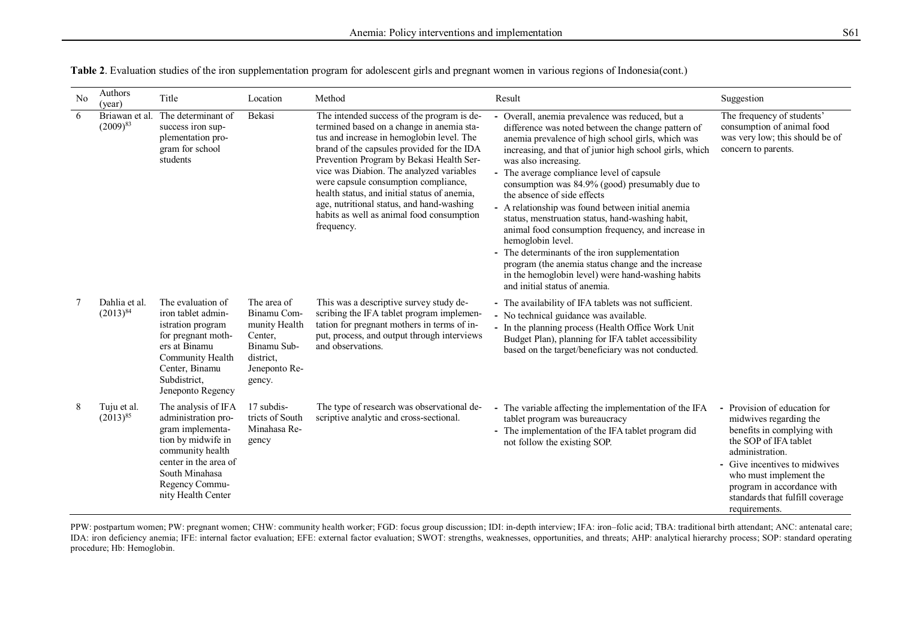| No | Authors<br>(year)               | Title                                                                                                                                                                                       | Location                                                                                                      | Method                                                                                                                                                                                                                                                                                                                                                                                                                                                                     | Result                                                                                                                                                                                                                                                                                                                                                                                                                                                                                                                                                                                                                                                                                                                                                      | Suggestion                                                                                                                                                                                                                                                                    |
|----|---------------------------------|---------------------------------------------------------------------------------------------------------------------------------------------------------------------------------------------|---------------------------------------------------------------------------------------------------------------|----------------------------------------------------------------------------------------------------------------------------------------------------------------------------------------------------------------------------------------------------------------------------------------------------------------------------------------------------------------------------------------------------------------------------------------------------------------------------|-------------------------------------------------------------------------------------------------------------------------------------------------------------------------------------------------------------------------------------------------------------------------------------------------------------------------------------------------------------------------------------------------------------------------------------------------------------------------------------------------------------------------------------------------------------------------------------------------------------------------------------------------------------------------------------------------------------------------------------------------------------|-------------------------------------------------------------------------------------------------------------------------------------------------------------------------------------------------------------------------------------------------------------------------------|
| 6  | Briawan et al.<br>$(2009)^{83}$ | The determinant of<br>success iron sup-<br>plementation pro-<br>gram for school<br>students                                                                                                 | Bekasi                                                                                                        | The intended success of the program is de-<br>termined based on a change in anemia sta-<br>tus and increase in hemoglobin level. The<br>brand of the capsules provided for the IDA<br>Prevention Program by Bekasi Health Ser-<br>vice was Diabion. The analyzed variables<br>were capsule consumption compliance,<br>health status, and initial status of anemia,<br>age, nutritional status, and hand-washing<br>habits as well as animal food consumption<br>frequency. | Overall, anemia prevalence was reduced, but a<br>difference was noted between the change pattern of<br>anemia prevalence of high school girls, which was<br>increasing, and that of junior high school girls, which<br>was also increasing.<br>- The average compliance level of capsule<br>consumption was 84.9% (good) presumably due to<br>the absence of side effects<br>- A relationship was found between initial anemia<br>status, menstruation status, hand-washing habit,<br>animal food consumption frequency, and increase in<br>hemoglobin level.<br>- The determinants of the iron supplementation<br>program (the anemia status change and the increase<br>in the hemoglobin level) were hand-washing habits<br>and initial status of anemia. | The frequency of students'<br>consumption of animal food<br>was very low; this should be of<br>concern to parents.                                                                                                                                                            |
|    | Dahlia et al.<br>$(2013)^{84}$  | The evaluation of<br>iron tablet admin-<br>istration program<br>for pregnant moth-<br>ers at Binamu<br>Community Health<br>Center, Binamu<br>Subdistrict,<br>Jeneponto Regency              | The area of<br>Binamu Com-<br>munity Health<br>Center,<br>Binamu Sub-<br>district.<br>Jeneponto Re-<br>gency. | This was a descriptive survey study de-<br>scribing the IFA tablet program implemen-<br>tation for pregnant mothers in terms of in-<br>put, process, and output through interviews<br>and observations.                                                                                                                                                                                                                                                                    | - The availability of IFA tablets was not sufficient.<br>- No technical guidance was available.<br>- In the planning process (Health Office Work Unit<br>Budget Plan), planning for IFA tablet accessibility<br>based on the target/beneficiary was not conducted.                                                                                                                                                                                                                                                                                                                                                                                                                                                                                          |                                                                                                                                                                                                                                                                               |
| 8  | Tuju et al.<br>$(2013)^{85}$    | The analysis of IFA<br>administration pro-<br>gram implementa-<br>tion by midwife in<br>community health<br>center in the area of<br>South Minahasa<br>Regency Commu-<br>nity Health Center | 17 subdis-<br>tricts of South<br>Minahasa Re-<br>gency                                                        | The type of research was observational de-<br>scriptive analytic and cross-sectional.                                                                                                                                                                                                                                                                                                                                                                                      | - The variable affecting the implementation of the IFA<br>tablet program was bureaucracy<br>- The implementation of the IFA tablet program did<br>not follow the existing SOP.                                                                                                                                                                                                                                                                                                                                                                                                                                                                                                                                                                              | - Provision of education for<br>midwives regarding the<br>benefits in complying with<br>the SOP of IFA tablet<br>administration.<br>- Give incentives to midwives<br>who must implement the<br>program in accordance with<br>standards that fulfill coverage<br>requirements. |

**Table 2**. Evaluation studies of the iron supplementation program for adolescent girls and pregnant women in various regions of Indonesia(cont.)

PPW: postpartum women; PW: pregnant women; CHW: community health worker; FGD: focus group discussion; IDI: in-depth interview; IFA: iron-folic acid; TBA: traditional birth attendant; ANC: antenatal care; IDA: iron deficiency anemia; IFE: internal factor evaluation; EFE: external factor evaluation; SWOT: strengths, weaknesses, opportunities, and threats; AHP: analytical hierarchy process; SOP: standard operating procedure; Hb: Hemoglobin.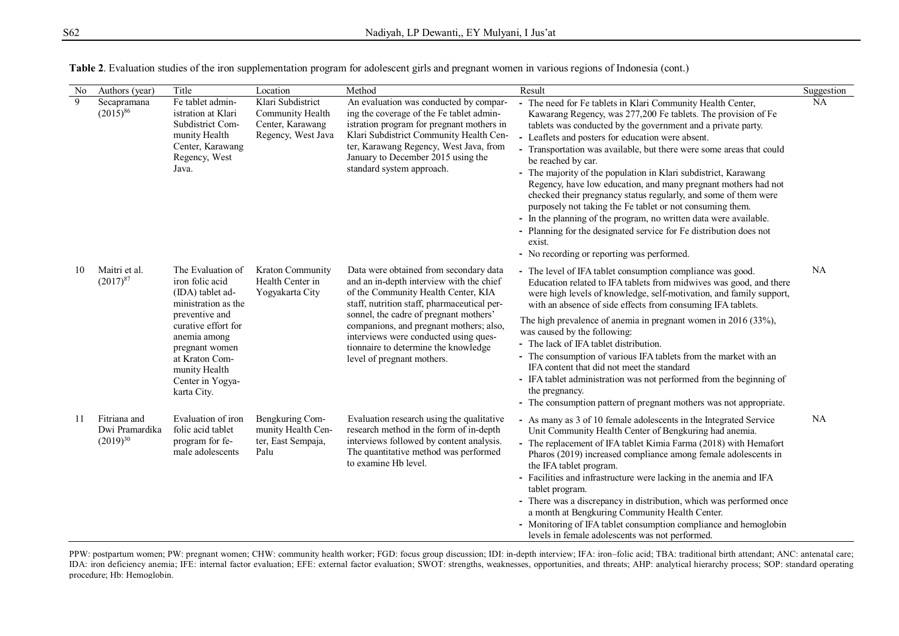| N <sub>o</sub> | Authors (year)                                  | Title                                                                                                                                                                                                                            | Location                                                                        | Method                                                                                                                                                                                                                                                                                                                                                                       | Result                                                                                                                                                                                                                                                                                                                                                                                                                                                                                                                                                                                                                                                                                                                                                                                                              | Suggestion |
|----------------|-------------------------------------------------|----------------------------------------------------------------------------------------------------------------------------------------------------------------------------------------------------------------------------------|---------------------------------------------------------------------------------|------------------------------------------------------------------------------------------------------------------------------------------------------------------------------------------------------------------------------------------------------------------------------------------------------------------------------------------------------------------------------|---------------------------------------------------------------------------------------------------------------------------------------------------------------------------------------------------------------------------------------------------------------------------------------------------------------------------------------------------------------------------------------------------------------------------------------------------------------------------------------------------------------------------------------------------------------------------------------------------------------------------------------------------------------------------------------------------------------------------------------------------------------------------------------------------------------------|------------|
| 9              | Secapramana<br>$(2015)^{86}$                    | Fe tablet admin-<br>istration at Klari<br>Subdistrict Com-<br>munity Health<br>Center, Karawang<br>Regency, West<br>Java.                                                                                                        | Klari Subdistrict<br>Community Health<br>Center, Karawang<br>Regency, West Java | An evaluation was conducted by compar-<br>ing the coverage of the Fe tablet admin-<br>istration program for pregnant mothers in<br>Klari Subdistrict Community Health Cen-<br>ter, Karawang Regency, West Java, from<br>January to December 2015 using the<br>standard system approach.                                                                                      | The need for Fe tablets in Klari Community Health Center,<br>Kawarang Regency, was 277,200 Fe tablets. The provision of Fe<br>tablets was conducted by the government and a private party.<br>Leaflets and posters for education were absent.<br>- Transportation was available, but there were some areas that could<br>be reached by car.<br>- The majority of the population in Klari subdistrict, Karawang<br>Regency, have low education, and many pregnant mothers had not<br>checked their pregnancy status regularly, and some of them were<br>purposely not taking the Fe tablet or not consuming them.<br>- In the planning of the program, no written data were available.<br>- Planning for the designated service for Fe distribution does not<br>exist.<br>- No recording or reporting was performed. | <b>NA</b>  |
| 10             | Maitri et al.<br>$(2017)^{87}$                  | The Evaluation of<br>iron folic acid<br>(IDA) tablet ad-<br>ministration as the<br>preventive and<br>curative effort for<br>anemia among<br>pregnant women<br>at Kraton Com-<br>munity Health<br>Center in Yogya-<br>karta City. | Kraton Community<br>Health Center in<br>Yogyakarta City                         | Data were obtained from secondary data<br>and an in-depth interview with the chief<br>of the Community Health Center, KIA<br>staff, nutrition staff, pharmaceutical per-<br>sonnel, the cadre of pregnant mothers'<br>companions, and pregnant mothers; also,<br>interviews were conducted using ques-<br>tionnaire to determine the knowledge<br>level of pregnant mothers. | - The level of IFA tablet consumption compliance was good.<br>Education related to IFA tablets from midwives was good, and there<br>were high levels of knowledge, self-motivation, and family support,<br>with an absence of side effects from consuming IFA tablets.<br>The high prevalence of anemia in pregnant women in 2016 (33%),<br>was caused by the following:<br>- The lack of IFA tablet distribution.<br>- The consumption of various IFA tablets from the market with an<br>IFA content that did not meet the standard<br>- IFA tablet administration was not performed from the beginning of<br>the pregnancy.<br>- The consumption pattern of pregnant mothers was not appropriate.                                                                                                                 | NA         |
| 11             | Fitriana and<br>Dwi Pramardika<br>$(2019)^{30}$ | Evaluation of iron<br>folic acid tablet<br>program for fe-<br>male adolescents                                                                                                                                                   | Bengkuring Com-<br>munity Health Cen-<br>ter, East Sempaja,<br>Palu             | Evaluation research using the qualitative<br>research method in the form of in-depth<br>interviews followed by content analysis.<br>The quantitative method was performed<br>to examine Hb level.                                                                                                                                                                            | - As many as 3 of 10 female adolescents in the Integrated Service<br>Unit Community Health Center of Bengkuring had anemia.<br>- The replacement of IFA tablet Kimia Farma (2018) with Hemafort<br>Pharos (2019) increased compliance among female adolescents in<br>the IFA tablet program.<br>- Facilities and infrastructure were lacking in the anemia and IFA<br>tablet program.<br>- There was a discrepancy in distribution, which was performed once<br>a month at Bengkuring Community Health Center.<br>- Monitoring of IFA tablet consumption compliance and hemoglobin<br>levels in female adolescents was not performed.                                                                                                                                                                               | NA         |

**Table 2**. Evaluation studies of the iron supplementation program for adolescent girls and pregnant women in various regions of Indonesia (cont.)

PPW: postpartum women; PW: pregnant women; CHW: community health worker; FGD: focus group discussion; IDI: in‐depth interview; IFA: iron–folic acid; TBA: traditional birth attendant; ANC: antenatal care; IDA: iron deficiency anemia; IFE: internal factor evaluation; EFE: external factor evaluation; SWOT: strengths, weaknesses, opportunities, and threats; AHP: analytical hierarchy process; SOP: standard operating procedure; Hb: Hemoglobin.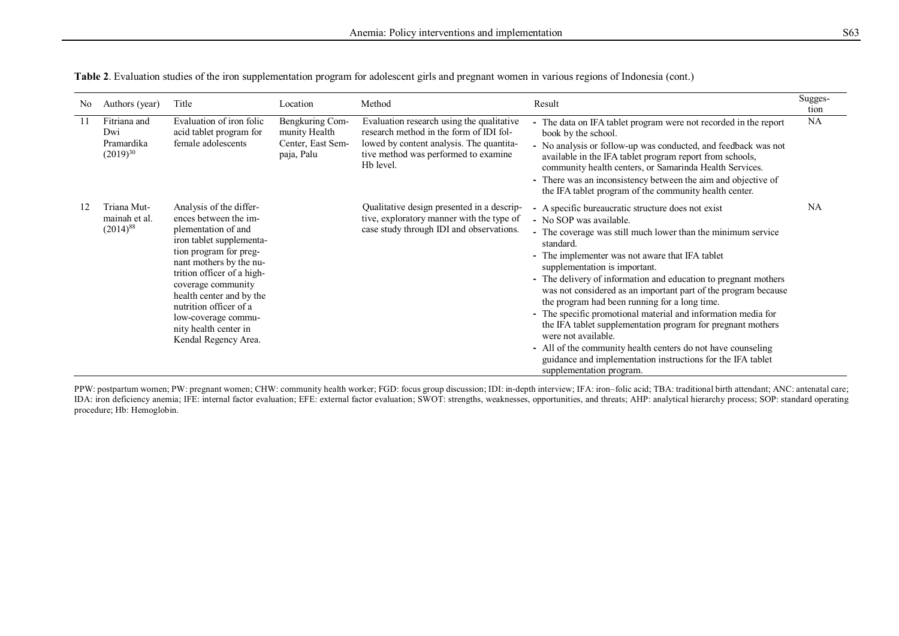| No  | Authors (year)                                     | Title                                                                                                                                                                                                                                                                                                                                      | Location                                                            | Method                                                                                                                                                                                | Result                                                                                                                                                                                                                                                                                                                                                                                                                                                                                                                                                                                                                                                                                                                                                 | Sugges-<br>tion |
|-----|----------------------------------------------------|--------------------------------------------------------------------------------------------------------------------------------------------------------------------------------------------------------------------------------------------------------------------------------------------------------------------------------------------|---------------------------------------------------------------------|---------------------------------------------------------------------------------------------------------------------------------------------------------------------------------------|--------------------------------------------------------------------------------------------------------------------------------------------------------------------------------------------------------------------------------------------------------------------------------------------------------------------------------------------------------------------------------------------------------------------------------------------------------------------------------------------------------------------------------------------------------------------------------------------------------------------------------------------------------------------------------------------------------------------------------------------------------|-----------------|
| -11 | Fitriana and<br>Dwi<br>Pramardika<br>$(2019)^{30}$ | Evaluation of iron folic<br>acid tablet program for<br>female adolescents                                                                                                                                                                                                                                                                  | Bengkuring Com-<br>munity Health<br>Center, East Sem-<br>paja, Palu | Evaluation research using the qualitative<br>research method in the form of IDI fol-<br>lowed by content analysis. The quantita-<br>tive method was performed to examine<br>Hb level. | - The data on IFA tablet program were not recorded in the report<br>book by the school.<br>- No analysis or follow-up was conducted, and feedback was not<br>available in the IFA tablet program report from schools,<br>community health centers, or Samarinda Health Services.<br>- There was an inconsistency between the aim and objective of<br>the IFA tablet program of the community health center.                                                                                                                                                                                                                                                                                                                                            | <b>NA</b>       |
|     | Triana Mut-<br>mainah et al.<br>$(2014)^{88}$      | Analysis of the differ-<br>ences between the im-<br>plementation of and<br>iron tablet supplementa-<br>tion program for preg-<br>nant mothers by the nu-<br>trition officer of a high-<br>coverage community<br>health center and by the<br>nutrition officer of a<br>low-coverage commu-<br>nity health center in<br>Kendal Regency Area. |                                                                     | Qualitative design presented in a descrip-<br>tive, exploratory manner with the type of<br>case study through IDI and observations.                                                   | - A specific bureaucratic structure does not exist<br>- No SOP was available.<br>- The coverage was still much lower than the minimum service<br>standard.<br>- The implementer was not aware that IFA tablet<br>supplementation is important.<br>- The delivery of information and education to pregnant mothers<br>was not considered as an important part of the program because<br>the program had been running for a long time.<br>- The specific promotional material and information media for<br>the IFA tablet supplementation program for pregnant mothers<br>were not available.<br>- All of the community health centers do not have counseling<br>guidance and implementation instructions for the IFA tablet<br>supplementation program. | NA              |

**Table 2**. Evaluation studies of the iron supplementation program for adolescent girls and pregnant women in various regions of Indonesia (cont.)

PPW: postpartum women; PW: pregnant women; CHW: community health worker; FGD: focus group discussion; IDI: in-depth interview; IFA: iron-folic acid; TBA: traditional birth attendant; ANC: antenatal care; IDA: iron deficiency anemia; IFE: internal factor evaluation; EFE: external factor evaluation; SWOT: strengths, weaknesses, opportunities, and threats; AHP: analytical hierarchy process; SOP: standard operating procedure; Hb: Hemoglobin.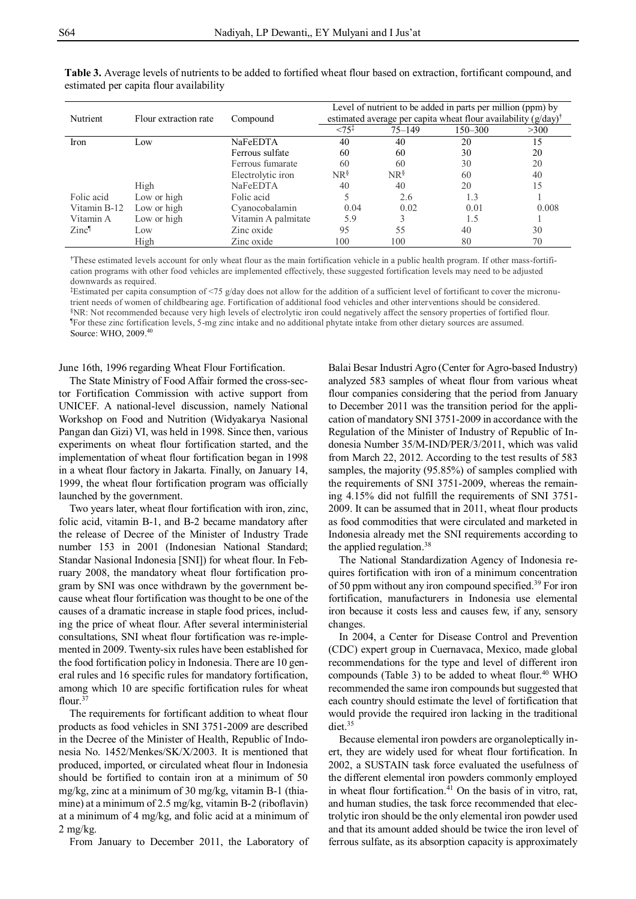| Nutrient          | Flour extraction rate | Compound            |                  |            | Level of nutrient to be added in parts per million (ppm) by<br>estimated average per capita wheat flour availability $(g/day)$ <sup>†</sup> |       |
|-------------------|-----------------------|---------------------|------------------|------------|---------------------------------------------------------------------------------------------------------------------------------------------|-------|
|                   |                       |                     | $<75^{\ddagger}$ | $75 - 149$ | 150-300                                                                                                                                     | >300  |
| Iron              | Low                   | NaFeEDTA            | 40               | 40         | 20                                                                                                                                          | 15    |
|                   |                       | Ferrous sulfate     | 60               | 60         | 30                                                                                                                                          | 20    |
|                   |                       | Ferrous fumarate    | 60               | 60         | 30                                                                                                                                          | 20    |
|                   |                       | Electrolytic iron   | $NR^{\S}$        | $NR^{\S}$  | 60                                                                                                                                          | 40    |
|                   | High                  | NaFeEDTA            | 40               | 40         | 20                                                                                                                                          | 15    |
| Folic acid        | Low or high           | Folic acid          |                  | 2.6        | 1.3                                                                                                                                         |       |
| Vitamin B-12      | Low or high           | Cyanocobalamin      | 0.04             | 0.02       | 0.01                                                                                                                                        | 0.008 |
| Vitamin A         | Low or high           | Vitamin A palmitate | 5.9              |            | 1.5                                                                                                                                         |       |
| Zinc <sup>1</sup> | Low                   | Zinc oxide          | 95               | 55         | 40                                                                                                                                          | 30    |
|                   | High                  | Zinc oxide          | 100              | 100        | 80                                                                                                                                          | 70    |

**Table 3.** Average levels of nutrients to be added to fortified wheat flour based on extraction, fortificant compound, and estimated per capita flour availability

†These estimated levels account for only wheat flour as the main fortification vehicle in a public health program. If other mass-fortification programs with other food vehicles are implemented effectively, these suggested fortification levels may need to be adjusted downwards as required.

‡Estimated per capita consumption of <75 g/day does not allow for the addition of a sufficient level of fortificant to cover the micronutrient needs of women of childbearing age. Fortification of additional food vehicles and other interventions should be considered. §NR: Not recommended because very high levels of electrolytic iron could negatively affect the sensory properties of fortified flour. ¶For these zinc fortification levels, 5-mg zinc intake and no additional phytate intake from other dietary sources are assumed. Source: WHO, 2009. 40

June 16th, 1996 regarding Wheat Flour Fortification.

The State Ministry of Food Affair formed the cross-sector Fortification Commission with active support from UNICEF. A national-level discussion, namely National Workshop on Food and Nutrition (Widyakarya Nasional Pangan dan Gizi) VI, was held in 1998. Since then, various experiments on wheat flour fortification started, and the implementation of wheat flour fortification began in 1998 in a wheat flour factory in Jakarta. Finally, on January 14, 1999, the wheat flour fortification program was officially launched by the government.

Two years later, wheat flour fortification with iron, zinc, folic acid, vitamin B-1, and B-2 became mandatory after the release of Decree of the Minister of Industry Trade number 153 in 2001 (Indonesian National Standard; Standar Nasional Indonesia [SNI]) for wheat flour. In February 2008, the mandatory wheat flour fortification program by SNI was once withdrawn by the government because wheat flour fortification was thought to be one of the causes of a dramatic increase in staple food prices, including the price of wheat flour. After several interministerial consultations, SNI wheat flour fortification was re-implemented in 2009. Twenty-six rules have been established for the food fortification policy in Indonesia. There are 10 general rules and 16 specific rules for mandatory fortification, among which 10 are specific fortification rules for wheat flour.<sup>37</sup>

The requirements for fortificant addition to wheat flour products as food vehicles in SNI 3751-2009 are described in the Decree of the Minister of Health, Republic of Indonesia No. 1452/Menkes/SK/X/2003. It is mentioned that produced, imported, or circulated wheat flour in Indonesia should be fortified to contain iron at a minimum of 50 mg/kg, zinc at a minimum of 30 mg/kg, vitamin B-1 (thiamine) at a minimum of 2.5 mg/kg, vitamin B-2 (riboflavin) at a minimum of 4 mg/kg, and folic acid at a minimum of 2 mg/kg.

From January to December 2011, the Laboratory of

Balai Besar Industri Agro (Center for Agro-based Industry) analyzed 583 samples of wheat flour from various wheat flour companies considering that the period from January to December 2011 was the transition period for the application of mandatory SNI 3751-2009 in accordance with the Regulation of the Minister of Industry of Republic of Indonesia Number 35/M-IND/PER/3/2011, which was valid from March 22, 2012. According to the test results of 583 samples, the majority (95.85%) of samples complied with the requirements of SNI 3751-2009, whereas the remaining 4.15% did not fulfill the requirements of SNI 3751- 2009. It can be assumed that in 2011, wheat flour products as food commodities that were circulated and marketed in Indonesia already met the SNI requirements according to the applied regulation.<sup>38</sup>

The National Standardization Agency of Indonesia requires fortification with iron of a minimum concentration of 50 ppm without any iron compound specified.<sup>39</sup> For iron fortification, manufacturers in Indonesia use elemental iron because it costs less and causes few, if any, sensory changes.

In 2004, a Center for Disease Control and Prevention (CDC) expert group in Cuernavaca, Mexico, made global recommendations for the type and level of different iron compounds (Table 3) to be added to wheat flour.<sup>40</sup> WHO recommended the same iron compounds but suggested that each country should estimate the level of fortification that would provide the required iron lacking in the traditional diet.<sup>35</sup>

Because elemental iron powders are organoleptically inert, they are widely used for wheat flour fortification. In 2002, a SUSTAIN task force evaluated the usefulness of the different elemental iron powders commonly employed in wheat flour fortification. $41$  On the basis of in vitro, rat, and human studies, the task force recommended that electrolytic iron should be the only elemental iron powder used and that its amount added should be twice the iron level of ferrous sulfate, as its absorption capacity is approximately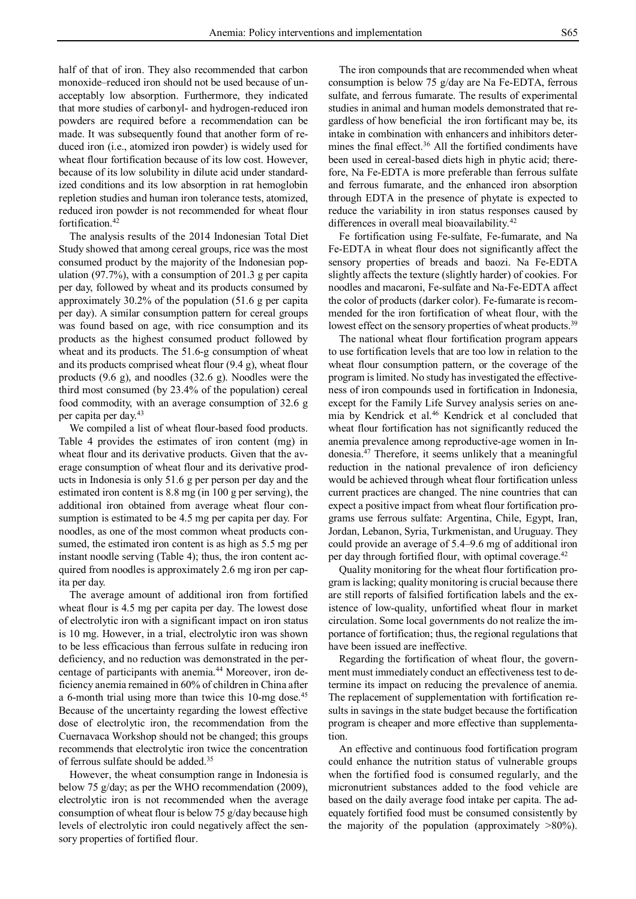half of that of iron. They also recommended that carbon monoxide–reduced iron should not be used because of unacceptably low absorption. Furthermore, they indicated that more studies of carbonyl- and hydrogen-reduced iron powders are required before a recommendation can be made. It was subsequently found that another form of reduced iron (i.e., atomized iron powder) is widely used for wheat flour fortification because of its low cost. However, because of its low solubility in dilute acid under standardized conditions and its low absorption in rat hemoglobin repletion studies and human iron tolerance tests, atomized, reduced iron powder is not recommended for wheat flour fortification.<sup>42</sup>

The analysis results of the 2014 Indonesian Total Diet Study showed that among cereal groups, rice was the most consumed product by the majority of the Indonesian population (97.7%), with a consumption of 201.3 g per capita per day, followed by wheat and its products consumed by approximately 30.2% of the population (51.6 g per capita per day). A similar consumption pattern for cereal groups was found based on age, with rice consumption and its products as the highest consumed product followed by wheat and its products. The 51.6-g consumption of wheat and its products comprised wheat flour (9.4 g), wheat flour products (9.6 g), and noodles (32.6 g). Noodles were the third most consumed (by 23.4% of the population) cereal food commodity, with an average consumption of 32.6 g per capita per day.<sup>43</sup>

We compiled a list of wheat flour-based food products. Table 4 provides the estimates of iron content (mg) in wheat flour and its derivative products. Given that the average consumption of wheat flour and its derivative products in Indonesia is only 51.6 g per person per day and the estimated iron content is 8.8 mg (in 100 g per serving), the additional iron obtained from average wheat flour consumption is estimated to be 4.5 mg per capita per day. For noodles, as one of the most common wheat products consumed, the estimated iron content is as high as 5.5 mg per instant noodle serving (Table 4); thus, the iron content acquired from noodles is approximately 2.6 mg iron per capita per day.

The average amount of additional iron from fortified wheat flour is 4.5 mg per capita per day. The lowest dose of electrolytic iron with a significant impact on iron status is 10 mg. However, in a trial, electrolytic iron was shown to be less efficacious than ferrous sulfate in reducing iron deficiency, and no reduction was demonstrated in the percentage of participants with anemia.<sup>44</sup> Moreover, iron deficiency anemia remained in 60% of children in China after a 6-month trial using more than twice this 10-mg dose.<sup>45</sup> Because of the uncertainty regarding the lowest effective dose of electrolytic iron, the recommendation from the Cuernavaca Workshop should not be changed; this groups recommends that electrolytic iron twice the concentration of ferrous sulfate should be added. 35

However, the wheat consumption range in Indonesia is below 75 g/day; as per the WHO recommendation (2009), electrolytic iron is not recommended when the average consumption of wheat flour is below 75 g/day because high levels of electrolytic iron could negatively affect the sensory properties of fortified flour.

The iron compounds that are recommended when wheat consumption is below 75 g/day are Na Fe-EDTA, ferrous sulfate, and ferrous fumarate. The results of experimental studies in animal and human models demonstrated that regardless of how beneficial the iron fortificant may be, its intake in combination with enhancers and inhibitors determines the final effect.<sup>36</sup> All the fortified condiments have been used in cereal-based diets high in phytic acid; therefore, Na Fe-EDTA is more preferable than ferrous sulfate and ferrous fumarate, and the enhanced iron absorption through EDTA in the presence of phytate is expected to reduce the variability in iron status responses caused by differences in overall meal bioavailability.<sup>42</sup>

Fe fortification using Fe-sulfate, Fe-fumarate, and Na Fe-EDTA in wheat flour does not significantly affect the sensory properties of breads and baozi. Na Fe-EDTA slightly affects the texture (slightly harder) of cookies. For noodles and macaroni, Fe-sulfate and Na-Fe-EDTA affect the color of products (darker color). Fe-fumarate is recommended for the iron fortification of wheat flour, with the lowest effect on the sensory properties of wheat products.<sup>39</sup>

The national wheat flour fortification program appears to use fortification levels that are too low in relation to the wheat flour consumption pattern, or the coverage of the program is limited. No study has investigated the effectiveness of iron compounds used in fortification in Indonesia, except for the Family Life Survey analysis series on anemia by Kendrick et al.<sup>46</sup> Kendrick et al concluded that wheat flour fortification has not significantly reduced the anemia prevalence among reproductive-age women in Indonesia.<sup>47</sup> Therefore, it seems unlikely that a meaningful reduction in the national prevalence of iron deficiency would be achieved through wheat flour fortification unless current practices are changed. The nine countries that can expect a positive impact from wheat flour fortification programs use ferrous sulfate: Argentina, Chile, Egypt, Iran, Jordan, Lebanon, Syria, Turkmenistan, and Uruguay. They could provide an average of 5.4–9.6 mg of additional iron per day through fortified flour, with optimal coverage.<sup>42</sup>

Quality monitoring for the wheat flour fortification program is lacking; quality monitoring is crucial because there are still reports of falsified fortification labels and the existence of low-quality, unfortified wheat flour in market circulation. Some local governments do not realize the importance of fortification; thus, the regional regulations that have been issued are ineffective.

Regarding the fortification of wheat flour, the government must immediately conduct an effectiveness test to determine its impact on reducing the prevalence of anemia. The replacement of supplementation with fortification results in savings in the state budget because the fortification program is cheaper and more effective than supplementation.

An effective and continuous food fortification program could enhance the nutrition status of vulnerable groups when the fortified food is consumed regularly, and the micronutrient substances added to the food vehicle are based on the daily average food intake per capita. The adequately fortified food must be consumed consistently by the majority of the population (approximately  $>80\%$ ).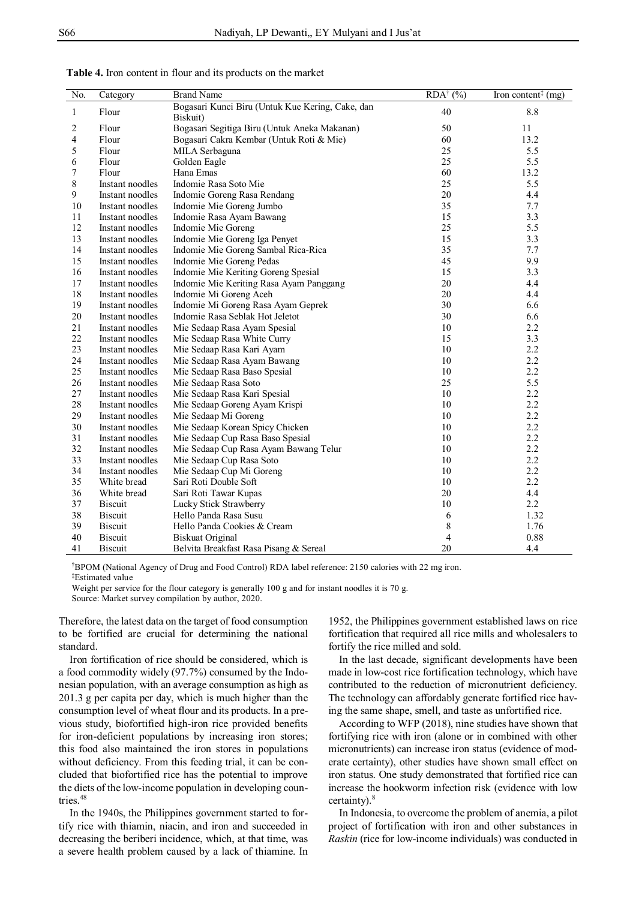| No. | Category        | <b>Brand Name</b>                                | $RDA^{\dagger}$ (%) | Iron content <sup><math>\ddagger</math></sup> (mg) |
|-----|-----------------|--------------------------------------------------|---------------------|----------------------------------------------------|
| 1   | Flour           | Bogasari Kunci Biru (Untuk Kue Kering, Cake, dan | 40                  | 8.8                                                |
|     |                 | Biskuit)                                         |                     |                                                    |
| 2   | Flour           | Bogasari Segitiga Biru (Untuk Aneka Makanan)     | 50                  | 11                                                 |
| 4   | Flour           | Bogasari Cakra Kembar (Untuk Roti & Mie)         | 60                  | 13.2                                               |
| 5   | Flour           | MILA Serbaguna                                   | 25                  | 5.5                                                |
| 6   | Flour           | Golden Eagle                                     | 25                  | 5.5                                                |
| 7   | Flour           | Hana Emas                                        | 60                  | 13.2                                               |
| 8   | Instant noodles | Indomie Rasa Soto Mie                            | 25                  | 5.5                                                |
| 9   | Instant noodles | Indomie Goreng Rasa Rendang                      | 20                  | 4.4                                                |
| 10  | Instant noodles | Indomie Mie Goreng Jumbo                         | 35                  | 7.7                                                |
| 11  | Instant noodles | Indomie Rasa Ayam Bawang                         | 15                  | 3.3                                                |
| 12  | Instant noodles | Indomie Mie Goreng                               | 25                  | 5.5                                                |
| 13  | Instant noodles | Indomie Mie Goreng Iga Penyet                    | 15                  | 3.3                                                |
| 14  | Instant noodles | Indomie Mie Goreng Sambal Rica-Rica              | 35                  | 7.7                                                |
| 15  | Instant noodles | Indomie Mie Goreng Pedas                         | 45                  | 9.9                                                |
| 16  | Instant noodles | Indomie Mie Keriting Goreng Spesial              | 15                  | 3.3                                                |
| 17  | Instant noodles | Indomie Mie Keriting Rasa Ayam Panggang          | 20                  | 4.4                                                |
| 18  | Instant noodles | Indomie Mi Goreng Aceh                           | 20                  | 4.4                                                |
| 19  | Instant noodles | Indomie Mi Goreng Rasa Ayam Geprek               | 30                  | 6.6                                                |
| 20  | Instant noodles | Indomie Rasa Seblak Hot Jeletot                  | 30                  | 6.6                                                |
| 21  | Instant noodles | Mie Sedaap Rasa Ayam Spesial                     | 10                  | 2.2                                                |
| 22  | Instant noodles | Mie Sedaap Rasa White Curry                      | 15                  | 3.3                                                |
| 23  | Instant noodles | Mie Sedaap Rasa Kari Ayam                        | 10                  | 2.2                                                |
| 24  | Instant noodles | Mie Sedaap Rasa Ayam Bawang                      | 10                  | 2.2                                                |
| 25  | Instant noodles | Mie Sedaap Rasa Baso Spesial                     | 10                  | 2.2                                                |
| 26  | Instant noodles | Mie Sedaap Rasa Soto                             | 25                  | 5.5                                                |
| 27  | Instant noodles | Mie Sedaap Rasa Kari Spesial                     | 10                  | 2.2                                                |
| 28  | Instant noodles | Mie Sedaap Goreng Ayam Krispi                    | 10                  | 2.2                                                |
| 29  | Instant noodles | Mie Sedaap Mi Goreng                             | 10                  | 2.2                                                |
| 30  | Instant noodles | Mie Sedaap Korean Spicy Chicken                  | 10                  | 2.2                                                |
| 31  | Instant noodles | Mie Sedaap Cup Rasa Baso Spesial                 | 10                  | 2.2                                                |
| 32  | Instant noodles | Mie Sedaap Cup Rasa Ayam Bawang Telur            | 10                  | 2.2                                                |
| 33  | Instant noodles | Mie Sedaap Cup Rasa Soto                         | 10                  | 2.2                                                |
| 34  | Instant noodles | Mie Sedaap Cup Mi Goreng                         | 10                  | 2.2                                                |
| 35  | White bread     | Sari Roti Double Soft                            | 10                  | 2.2                                                |
| 36  | White bread     | Sari Roti Tawar Kupas                            | 20                  | 4.4                                                |
| 37  | <b>Biscuit</b>  | Lucky Stick Strawberry                           | 10                  | 2.2                                                |
| 38  | <b>Biscuit</b>  | Hello Panda Rasa Susu                            | 6                   | 1.32                                               |
| 39  | <b>Biscuit</b>  | Hello Panda Cookies & Cream                      | 8                   | 1.76                                               |
| 40  | <b>Biscuit</b>  | <b>Biskuat Original</b>                          | $\overline{4}$      | 0.88                                               |
| 41  | Biscuit         | Belvita Breakfast Rasa Pisang & Sereal           | 20                  | 4.4                                                |

| <b>Table 4.</b> Iron content in flour and its products on the market |  |
|----------------------------------------------------------------------|--|
|----------------------------------------------------------------------|--|

†BPOM (National Agency of Drug and Food Control) RDA label reference: 2150 calories with 22 mg iron. ‡Estimated value

Weight per service for the flour category is generally 100 g and for instant noodles it is 70 g.

Source: Market survey compilation by author, 2020.

Therefore, the latest data on the target of food consumption to be fortified are crucial for determining the national standard.

Iron fortification of rice should be considered, which is a food commodity widely (97.7%) consumed by the Indonesian population, with an average consumption as high as 201.3 g per capita per day, which is much higher than the consumption level of wheat flour and its products. In a previous study, biofortified high-iron rice provided benefits for iron-deficient populations by increasing iron stores; this food also maintained the iron stores in populations without deficiency. From this feeding trial, it can be concluded that biofortified rice has the potential to improve the diets of the low-income population in developing countries.<sup>48</sup>

In the 1940s, the Philippines government started to fortify rice with thiamin, niacin, and iron and succeeded in decreasing the beriberi incidence, which, at that time, was a severe health problem caused by a lack of thiamine. In

1952, the Philippines government established laws on rice fortification that required all rice mills and wholesalers to fortify the rice milled and sold.

In the last decade, significant developments have been made in low-cost rice fortification technology, which have contributed to the reduction of micronutrient deficiency. The technology can affordably generate fortified rice having the same shape, smell, and taste as unfortified rice.

According to WFP (2018), nine studies have shown that fortifying rice with iron (alone or in combined with other micronutrients) can increase iron status (evidence of moderate certainty), other studies have shown small effect on iron status. One study demonstrated that fortified rice can increase the hookworm infection risk (evidence with low certainty).<sup>8</sup>

In Indonesia, to overcome the problem of anemia, a pilot project of fortification with iron and other substances in *Raskin* (rice for low-income individuals) was conducted in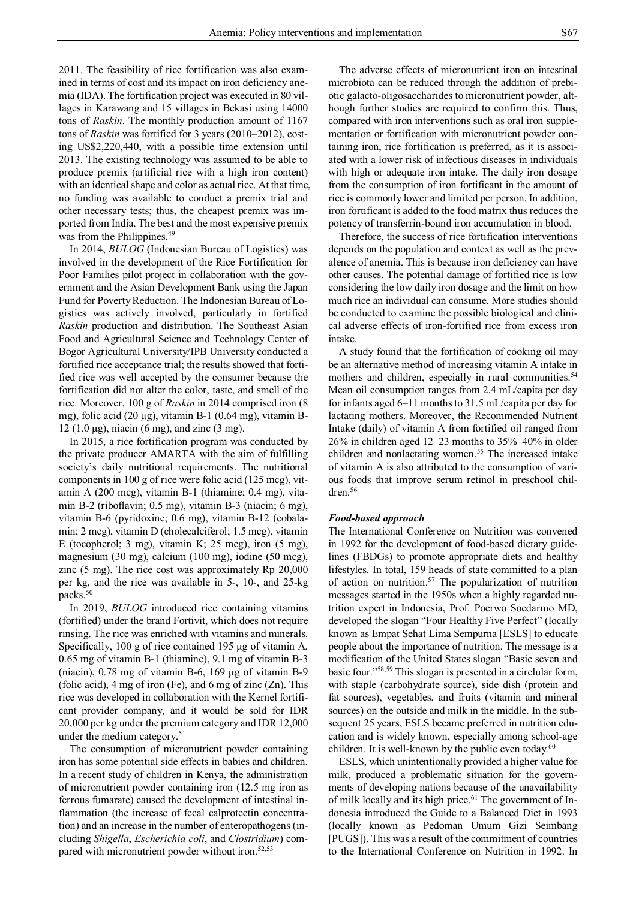2011. The feasibility of rice fortification was also examined in terms of cost and its impact on iron deficiency anemia (IDA). The fortification project was executed in 80 villages in Karawang and 15 villages in Bekasi using 14000 tons of *Raskin*. The monthly production amount of 1167 tons of *Raskin* was fortified for 3 years (2010–2012), costing US\$2,220,440, with a possible time extension until 2013. The existing technology was assumed to be able to produce premix (artificial rice with a high iron content) with an identical shape and color as actual rice. At that time, no funding was available to conduct a premix trial and other necessary tests; thus, the cheapest premix was imported from India. The best and the most expensive premix was from the Philippines.<sup>49</sup>

In 2014, *BULOG* (Indonesian Bureau of Logistics) was involved in the development of the Rice Fortification for Poor Families pilot project in collaboration with the government and the Asian Development Bank using the Japan Fund for Poverty Reduction. The Indonesian Bureau of Logistics was actively involved, particularly in fortified *Raskin* production and distribution. The Southeast Asian Food and Agricultural Science and Technology Center of Bogor Agricultural University/IPB University conducted a fortified rice acceptance trial; the results showed that fortified rice was well accepted by the consumer because the fortification did not alter the color, taste, and smell of the rice. Moreover, 100 g of *Raskin* in 2014 comprised iron (8 mg), folic acid (20 μg), vitamin B-1 (0.64 mg), vitamin B-12 (1.0 μg), niacin (6 mg), and zinc (3 mg).

In 2015, a rice fortification program was conducted by the private producer AMARTA with the aim of fulfilling society's daily nutritional requirements. The nutritional components in 100 g of rice were folic acid (125 mcg), vitamin A (200 mcg), vitamin B-1 (thiamine; 0.4 mg), vitamin B-2 (riboflavin; 0.5 mg), vitamin B-3 (niacin; 6 mg), vitamin B-6 (pyridoxine; 0.6 mg), vitamin B-12 (cobalamin; 2 mcg), vitamin D (cholecalciferol; 1.5 mcg), vitamin E (tocopherol; 3 mg), vitamin K; 25 mcg), iron (5 mg), magnesium (30 mg), calcium (100 mg), iodine (50 mcg), zinc (5 mg). The rice cost was approximately Rp 20,000 per kg, and the rice was available in 5-, 10-, and 25-kg packs.<sup>50</sup>

In 2019, *BULOG* introduced rice containing vitamins (fortified) under the brand Fortivit, which does not require rinsing. The rice was enriched with vitamins and minerals. Specifically, 100 g of rice contained 195 μg of vitamin A, 0.65 mg of vitamin B-1 (thiamine), 9.1 mg of vitamin B-3 (niacin), 0.78 mg of vitamin B-6, 169 μg of vitamin B-9 (folic acid),  $4 \text{ mg of iron (Fe)}$ , and  $6 \text{ mg of zinc (Zn)}$ . This rice was developed in collaboration with the Kernel fortificant provider company, and it would be sold for IDR 20,000 per kg under the premium category and IDR 12,000 under the medium category.<sup>51</sup>

The consumption of micronutrient powder containing iron has some potential side effects in babies and children. In a recent study of children in Kenya, the administration of micronutrient powder containing iron (12.5 mg iron as ferrous fumarate) caused the development of intestinal inflammation (the increase of fecal calprotectin concentration) and an increase in the number of enteropathogens (including *Shigella*, *Escherichia coli*, and *Clostridium*) compared with micronutrient powder without iron.<sup>52,53</sup>

The adverse effects of micronutrient iron on intestinal microbiota can be reduced through the addition of prebiotic galacto-oligosaccharides to micronutrient powder, although further studies are required to confirm this. Thus, compared with iron interventions such as oral iron supplementation or fortification with micronutrient powder containing iron, rice fortification is preferred, as it is associated with a lower risk of infectious diseases in individuals with high or adequate iron intake. The daily iron dosage from the consumption of iron fortificant in the amount of rice is commonly lower and limited per person. In addition, iron fortificant is added to the food matrix thus reduces the potency of transferrin-bound iron accumulation in blood.

Therefore, the success of rice fortification interventions depends on the population and context as well as the prevalence of anemia. This is because iron deficiency can have other causes. The potential damage of fortified rice is low considering the low daily iron dosage and the limit on how much rice an individual can consume. More studies should be conducted to examine the possible biological and clinical adverse effects of iron-fortified rice from excess iron intake.

A study found that the fortification of cooking oil may be an alternative method of increasing vitamin A intake in mothers and children, especially in rural communities.<sup>54</sup> Mean oil consumption ranges from 2.4 mL/capita per day for infants aged 6–11 months to 31.5 mL/capita per day for lactating mothers. Moreover, the Recommended Nutrient Intake (daily) of vitamin A from fortified oil ranged from 26% in children aged 12–23 months to 35%–40% in older children and nonlactating women.<sup>55</sup> The increased intake of vitamin A is also attributed to the consumption of various foods that improve serum retinol in preschool children.<sup>56</sup>

### *Food-based approach*

The International Conference on Nutrition was convened in 1992 for the development of food-based dietary guidelines (FBDGs) to promote appropriate diets and healthy lifestyles. In total, 159 heads of state committed to a plan of action on nutrition.<sup>57</sup> The popularization of nutrition messages started in the 1950s when a highly regarded nutrition expert in Indonesia, Prof. Poerwo Soedarmo MD, developed the slogan "Four Healthy Five Perfect" (locally known as Empat Sehat Lima Sempurna [ESLS] to educate people about the importance of nutrition. The message is a modification of the United States slogan "Basic seven and basic four." 58,59 This slogan is presented in a circlular form, with staple (carbohydrate source), side dish (protein and fat sources), vegetables, and fruits (vitamin and mineral sources) on the outside and milk in the middle. In the subsequent 25 years, ESLS became preferred in nutrition education and is widely known, especially among school-age children. It is well-known by the public even today. $60$ 

ESLS, which unintentionally provided a higher value for milk, produced a problematic situation for the governments of developing nations because of the unavailability of milk locally and its high price. $61$  The government of Indonesia introduced the Guide to a Balanced Diet in 1993 (locally known as Pedoman Umum Gizi Seimbang [PUGS]). This was a result of the commitment of countries to the International Conference on Nutrition in 1992. In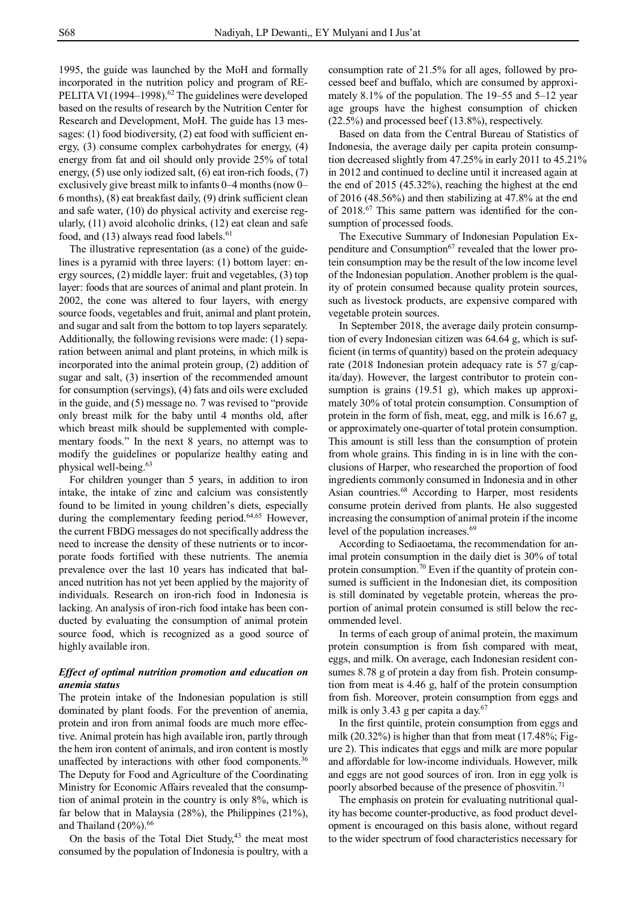1995, the guide was launched by the MoH and formally incorporated in the nutrition policy and program of RE-PELITA VI (1994–1998).<sup>62</sup> The guidelines were developed based on the results of research by the Nutrition Center for Research and Development, MoH. The guide has 13 messages: (1) food biodiversity, (2) eat food with sufficient energy, (3) consume complex carbohydrates for energy, (4) energy from fat and oil should only provide 25% of total energy, (5) use only iodized salt, (6) eat iron-rich foods, (7) exclusively give breast milk to infants 0–4 months (now 0– 6 months), (8) eat breakfast daily, (9) drink sufficient clean and safe water, (10) do physical activity and exercise regularly, (11) avoid alcoholic drinks, (12) eat clean and safe food, and  $(13)$  always read food labels.<sup>61</sup>

The illustrative representation (as a cone) of the guidelines is a pyramid with three layers: (1) bottom layer: energy sources, (2) middle layer: fruit and vegetables, (3) top layer: foods that are sources of animal and plant protein. In 2002, the cone was altered to four layers, with energy source foods, vegetables and fruit, animal and plant protein, and sugar and salt from the bottom to top layers separately. Additionally, the following revisions were made: (1) separation between animal and plant proteins, in which milk is incorporated into the animal protein group, (2) addition of sugar and salt, (3) insertion of the recommended amount for consumption (servings), (4) fats and oils were excluded in the guide, and (5) message no. 7 was revised to "provide only breast milk for the baby until 4 months old, after which breast milk should be supplemented with complementary foods." In the next 8 years, no attempt was to modify the guidelines or popularize healthy eating and physical well-being.<sup>63</sup>

For children younger than 5 years, in addition to iron intake, the intake of zinc and calcium was consistently found to be limited in young children's diets, especially during the complementary feeding period.<sup>64,65</sup> However, the current FBDG messages do not specifically address the need to increase the density of these nutrients or to incorporate foods fortified with these nutrients. The anemia prevalence over the last 10 years has indicated that balanced nutrition has not yet been applied by the majority of individuals. Research on iron-rich food in Indonesia is lacking. An analysis of iron-rich food intake has been conducted by evaluating the consumption of animal protein source food, which is recognized as a good source of highly available iron.

# *Effect of optimal nutrition promotion and education on anemia status*

The protein intake of the Indonesian population is still dominated by plant foods. For the prevention of anemia, protein and iron from animal foods are much more effective. Animal protein has high available iron, partly through the hem iron content of animals, and iron content is mostly unaffected by interactions with other food components.<sup>36</sup> The Deputy for Food and Agriculture of the Coordinating Ministry for Economic Affairs revealed that the consumption of animal protein in the country is only 8%, which is far below that in Malaysia (28%), the Philippines (21%), and Thailand (20%). 66

On the basis of the Total Diet Study, $43$  the meat most consumed by the population of Indonesia is poultry, with a

consumption rate of 21.5% for all ages, followed by processed beef and buffalo, which are consumed by approximately 8.1% of the population. The 19–55 and 5–12 year age groups have the highest consumption of chicken (22.5%) and processed beef (13.8%), respectively.

Based on data from the Central Bureau of Statistics of Indonesia, the average daily per capita protein consumption decreased slightly from 47.25% in early 2011 to 45.21% in 2012 and continued to decline until it increased again at the end of 2015 (45.32%), reaching the highest at the end of 2016 (48.56%) and then stabilizing at 47.8% at the end of 2018.<sup>67</sup> This same pattern was identified for the consumption of processed foods.

The Executive Summary of Indonesian Population Expenditure and Consumption<sup>67</sup> revealed that the lower protein consumption may be the result of the low income level of the Indonesian population. Another problem is the quality of protein consumed because quality protein sources, such as livestock products, are expensive compared with vegetable protein sources.

In September 2018, the average daily protein consumption of every Indonesian citizen was 64.64 g, which is sufficient (in terms of quantity) based on the protein adequacy rate (2018 Indonesian protein adequacy rate is 57 g/capita/day). However, the largest contributor to protein consumption is grains (19.51 g), which makes up approximately 30% of total protein consumption. Consumption of protein in the form of fish, meat, egg, and milk is 16.67 g, or approximately one-quarter of total protein consumption. This amount is still less than the consumption of protein from whole grains. This finding in is in line with the conclusions of Harper, who researched the proportion of food ingredients commonly consumed in Indonesia and in other Asian countries.<sup>68</sup> According to Harper, most residents consume protein derived from plants. He also suggested increasing the consumption of animal protein if the income level of the population increases.<sup>69</sup>

According to Sediaoetama, the recommendation for animal protein consumption in the daily diet is 30% of total protein consumption.<sup>70</sup> Even if the quantity of protein consumed is sufficient in the Indonesian diet, its composition is still dominated by vegetable protein, whereas the proportion of animal protein consumed is still below the recommended level.

In terms of each group of animal protein, the maximum protein consumption is from fish compared with meat, eggs, and milk. On average, each Indonesian resident consumes 8.78 g of protein a day from fish. Protein consumption from meat is 4.46 g, half of the protein consumption from fish. Moreover, protein consumption from eggs and milk is only 3.43 g per capita a day. $67$ 

In the first quintile, protein consumption from eggs and milk (20.32%) is higher than that from meat (17.48%; Figure 2). This indicates that eggs and milk are more popular and affordable for low-income individuals. However, milk and eggs are not good sources of iron. Iron in egg yolk is poorly absorbed because of the presence of phosvitin.<sup>71</sup>

The emphasis on protein for evaluating nutritional quality has become counter-productive, as food product development is encouraged on this basis alone, without regard to the wider spectrum of food characteristics necessary for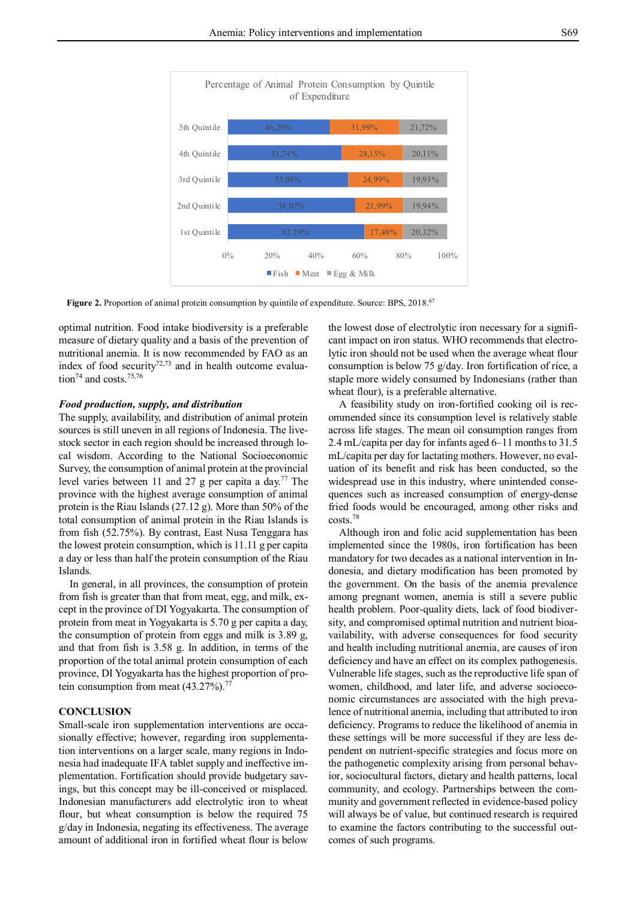

Figure 2. Proportion of animal protein consumption by quintile of expenditure. Source: BPS, 2018.<sup>67</sup>

optimal nutrition. Food intake biodiversity is a preferable measure of dietary quality and a basis of the prevention of nutritional anemia. It is now recommended by FAO as an index of food security $72,73$  and in health outcome evaluation<sup>74</sup> and costs.<sup>75,76</sup>

### *Food production, supply, and distribution*

The supply, availability, and distribution of animal protein sources is still uneven in all regions of Indonesia. The livestock sector in each region should be increased through local wisdom. According to the National Socioeconomic Survey, the consumption of animal protein at the provincial level varies between 11 and 27 g per capita a day.<sup>77</sup> The province with the highest average consumption of animal protein is the Riau Islands (27.12 g). More than 50% of the total consumption of animal protein in the Riau Islands is from fish (52.75%). By contrast, East Nusa Tenggara has the lowest protein consumption, which is 11.11 g per capita a day or less than half the protein consumption of the Riau Islands.

In general, in all provinces, the consumption of protein from fish is greater than that from meat, egg, and milk, except in the province of DI Yogyakarta. The consumption of protein from meat in Yogyakarta is 5.70 g per capita a day, the consumption of protein from eggs and milk is 3.89 g, and that from fish is 3.58 g. In addition, in terms of the proportion of the total animal protein consumption of each province, DI Yogyakarta has the highest proportion of protein consumption from meat  $(43.27\%)$ .<sup>77</sup>

#### **CONCLUSION**

Small-scale iron supplementation interventions are occasionally effective; however, regarding iron supplementation interventions on a larger scale, many regions in Indonesia had inadequate IFA tablet supply and ineffective implementation. Fortification should provide budgetary savings, but this concept may be ill-conceived or misplaced. Indonesian manufacturers add electrolytic iron to wheat flour, but wheat consumption is below the required 75 g/day in Indonesia, negating its effectiveness. The average amount of additional iron in fortified wheat flour is below

the lowest dose of electrolytic iron necessary for a significant impact on iron status. WHO recommends that electrolytic iron should not be used when the average wheat flour consumption is below 75 g/day. Iron fortification of rice, a staple more widely consumed by Indonesians (rather than wheat flour), is a preferable alternative.

A feasibility study on iron-fortified cooking oil is recommended since its consumption level is relatively stable across life stages. The mean oil consumption ranges from 2.4 mL/capita per day for infants aged 6–11 months to 31.5 mL/capita per day for lactating mothers. However, no evaluation of its benefit and risk has been conducted, so the widespread use in this industry, where unintended consequences such as increased consumption of energy-dense fried foods would be encouraged, among other risks and costs.<sup>78</sup>

Although iron and folic acid supplementation has been implemented since the 1980s, iron fortification has been mandatory for two decades as a national intervention in Indonesia, and dietary modification has been promoted by the government. On the basis of the anemia prevalence among pregnant women, anemia is still a severe public health problem. Poor-quality diets, lack of food biodiversity, and compromised optimal nutrition and nutrient bioavailability, with adverse consequences for food security and health including nutritional anemia, are causes of iron deficiency and have an effect on its complex pathogenesis. Vulnerable life stages, such as the reproductive life span of women, childhood, and later life, and adverse socioeconomic circumstances are associated with the high prevalence of nutritional anemia, including that attributed to iron deficiency. Programs to reduce the likelihood of anemia in these settings will be more successful if they are less dependent on nutrient-specific strategies and focus more on the pathogenetic complexity arising from personal behavior, sociocultural factors, dietary and health patterns, local community, and ecology. Partnerships between the community and government reflected in evidence-based policy will always be of value, but continued research is required to examine the factors contributing to the successful outcomes of such programs.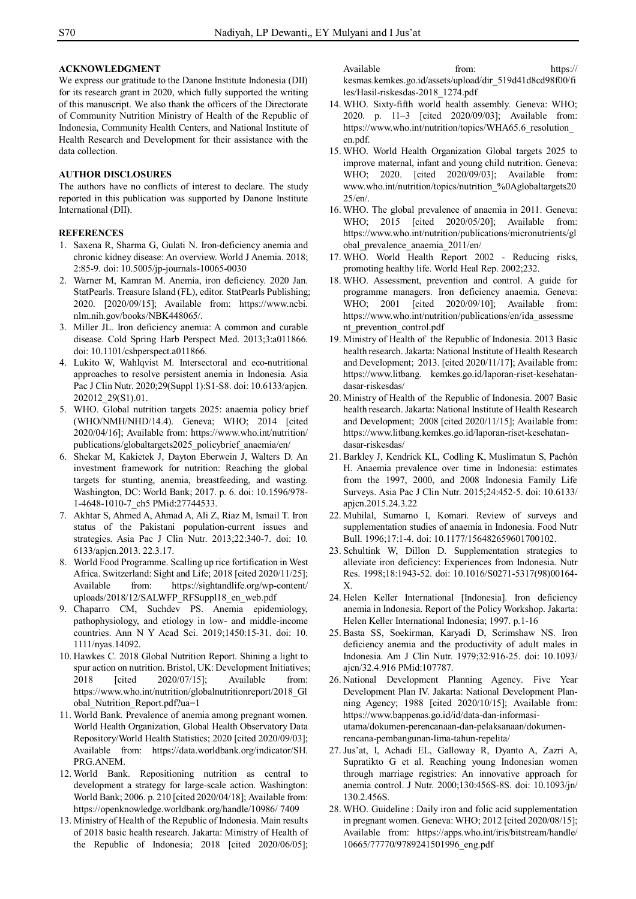## **ACKNOWLEDGMENT**

We express our gratitude to the Danone Institute Indonesia (DII) for its research grant in 2020, which fully supported the writing of this manuscript. We also thank the officers of the Directorate of Community Nutrition Ministry of Health of the Republic of Indonesia, Community Health Centers, and National Institute of Health Research and Development for their assistance with the data collection.

# **AUTHOR DISCLOSURES**

The authors have no conflicts of interest to declare. The study reported in this publication was supported by Danone Institute International (DII).

# **REFERENCES**

- 1. Saxena R, Sharma G, Gulati N. Iron-deficiency anemia and chronic kidney disease: An overview. World J Anemia. 2018; 2:85-9. doi: 10.5005/jp-journals-10065-0030
- 2. Warner M, Kamran M. Anemia, iron deficiency. 2020 Jan. StatPearls. Treasure Island (FL), editor. StatPearls Publishing; 2020. [2020/09/15]; Available from: https://www.ncbi. nlm.nih.gov/books/NBK448065/.
- 3. Miller JL. Iron deficiency anemia: A common and curable disease. Cold Spring Harb Perspect Med. 2013;3:a011866. doi: 10.1101/cshperspect.a011866.
- 4. Lukito W, Wahlqvist M. Intersectoral and eco-nutritional approaches to resolve persistent anemia in Indonesia. Asia Pac J Clin Nutr. 2020;29(Suppl 1):S1-S8. doi: 10.6133/apjcn. 202012\_29(S1).01.
- 5. WHO. Global nutrition targets 2025: anaemia policy brief (WHO/NMH/NHD/14.4). Geneva; WHO; 2014 [cited 2020/04/16]; Available from: https://www.who.int/nutrition/ publications/globaltargets2025\_policybrief\_anaemia/en/
- 6. Shekar M, Kakietek J, Dayton Eberwein J, Walters D. An investment framework for nutrition: Reaching the global targets for stunting, anemia, breastfeeding, and wasting. Washington, DC: World Bank; 2017. p. 6. doi: 10.1596/978- 1-4648-1010-7\_ch5 PMid:27744533.
- 7. Akhtar S, Ahmed A, Ahmad A, Ali Z, Riaz M, Ismail T. Iron status of the Pakistani population-current issues and strategies. Asia Pac J Clin Nutr. 2013;22:340-7. doi: 10. 6133/apjcn.2013. 22.3.17.
- 8. World Food Programme. Scalling up rice fortification in West Africa. Switzerland: Sight and Life; 2018 [cited 2020/11/25]; Available from: https://sightandlife.org/wp-content/ uploads/2018/12/SALWFP\_RFSuppl18\_en\_web.pdf
- 9. Chaparro CM, Suchdev PS. Anemia epidemiology, pathophysiology, and etiology in low- and middle-income countries. Ann N Y Acad Sci. 2019;1450:15-31. doi: 10. 1111/nyas.14092.
- 10. Hawkes C. 2018 Global Nutrition Report. Shining a light to spur action on nutrition. Bristol, UK: Development Initiatives; 2018 [cited 2020/07/15]; Available from: https://www.who.int/nutrition/globalnutritionreport/2018\_Gl obal Nutrition Report.pdf?ua=1
- 11. World Bank. Prevalence of anemia among pregnant women. World Health Organization, Global Health Observatory Data Repository/World Health Statistics; 2020 [cited 2020/09/03]; Available from: https://data.worldbank.org/indicator/SH. PRG.ANEM.
- 12. World Bank. Repositioning nutrition as central to development a strategy for large-scale action. Washington: World Bank; 2006. p. 210 [cited 2020/04/18]; Available from: https://openknowledge.worldbank.org/handle/10986/ 7409
- 13. Ministry of Health of the Republic of Indonesia. Main results of 2018 basic health research. Jakarta: Ministry of Health of the Republic of Indonesia; 2018 [cited 2020/06/05];

Available from: https:// kesmas.kemkes.go.id/assets/upload/dir\_519d41d8cd98f00/fi les/Hasil-riskesdas-2018\_1274.pdf

- 14. WHO. Sixty-fifth world health assembly. Geneva: WHO; 2020. p. 11–3 [cited 2020/09/03]; Available from: https://www.who.int/nutrition/topics/WHA65.6 resolution en.pdf.
- 15. WHO. World Health Organization Global targets 2025 to improve maternal, infant and young child nutrition. Geneva: WHO; 2020. [cited 2020/09/03]; Available from: www.who.int/nutrition/topics/nutrition\_%0Aglobaltargets20 25/en/.
- 16. WHO. The global prevalence of anaemia in 2011. Geneva: WHO; 2015 [cited 2020/05/20]; Available from: https://www.who.int/nutrition/publications/micronutrients/gl obal\_prevalence\_anaemia\_2011/en/
- 17. WHO. World Health Report 2002 Reducing risks, promoting healthy life. World Heal Rep. 2002;232.
- 18. WHO. Assessment, prevention and control. A guide for programme managers. Iron deficiency anaemia. Geneva: WHO; 2001 [cited 2020/09/10]; Available from: https://www.who.int/nutrition/publications/en/ida\_assessme nt prevention control.pdf
- 19. Ministry of Health of the Republic of Indonesia. 2013 Basic health research. Jakarta: National Institute of Health Research and Development; 2013. [cited 2020/11/17]; Available from: https://www.litbang. kemkes.go.id/laporan-riset-kesehatandasar-riskesdas/
- 20. Ministry of Health of the Republic of Indonesia. 2007 Basic health research. Jakarta: National Institute of Health Research and Development; 2008 [cited 2020/11/15]; Available from: https://www.litbang.kemkes.go.id/laporan-riset-kesehatandasar-riskesdas/
- 21. Barkley J, Kendrick KL, Codling K, Muslimatun S, Pachón H. Anaemia prevalence over time in Indonesia: estimates from the 1997, 2000, and 2008 Indonesia Family Life Surveys. Asia Pac J Clin Nutr. 2015;24:452-5. doi: 10.6133/ apjcn.2015.24.3.22
- 22. Muhilal, Sumarno I, Komari. Review of surveys and supplementation studies of anaemia in Indonesia. Food Nutr Bull. 1996;17:1-4. doi: 10.1177/156482659601700102.
- 23. Schultink W, Dillon D. Supplementation strategies to alleviate iron deficiency: Experiences from Indonesia. Nutr Res. 1998;18:1943-52. doi: 10.1016/S0271-5317(98)00164- X.
- 24. Helen Keller International [Indonesia]. Iron deficiency anemia in Indonesia. Report of the Policy Workshop. Jakarta: Helen Keller International Indonesia; 1997. p.1-16
- 25. Basta SS, Soekirman, Karyadi D, Scrimshaw NS. Iron deficiency anemia and the productivity of adult males in Indonesia. Am J Clin Nutr. 1979;32:916-25. doi: 10.1093/ ajcn/32.4.916 PMid:107787.
- 26. National Development Planning Agency. Five Year Development Plan IV. Jakarta: National Development Planning Agency; 1988 [cited 2020/10/15]; Available from: https://www.bappenas.go.id/id/data-dan-informasiutama/dokumen-perencanaan-dan-pelaksanaan/dokumenrencana-pembangunan-lima-tahun-repelita/
- 27. Jus'at, I, Achadi EL, Galloway R, Dyanto A, Zazri A, Supratikto G et al. Reaching young Indonesian women through marriage registries: An innovative approach for anemia control. J Nutr. 2000;130:456S-8S. doi: 10.1093/jn/ 130.2.456S.
- 28. WHO. Guideline : Daily iron and folic acid supplementation in pregnant women. Geneva: WHO; 2012 [cited 2020/08/15]; Available from: https://apps.who.int/iris/bitstream/handle/ 10665/77770/9789241501996\_eng.pdf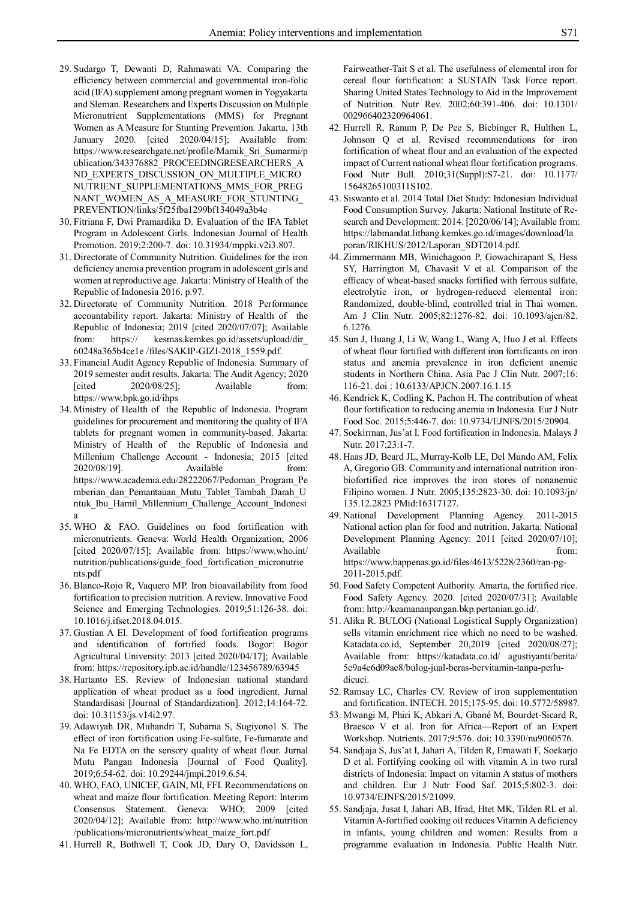- 29. Sudargo T, Dewanti D, Rahmawati VA. Comparing the efficiency between commercial and governmental iron-folic acid (IFA) supplement among pregnant women in Yogyakarta and Sleman. Researchers and Experts Discussion on Multiple Micronutrient Supplementations (MMS) for Pregnant Women as A Measure for Stunting Prevention. Jakarta, 13th January 2020. [cited 2020/04/15]; Available from: https://www.researchgate.net/profile/Mamik\_Sri\_Sumarmi/p ublication/343376882\_PROCEEDINGRESEARCHERS\_A ND\_EXPERTS\_DISCUSSION\_ON\_MULTIPLE\_MICRO NUTRIENT\_SUPPLEMENTATIONS\_MMS\_FOR\_PREG NANT\_WOMEN\_AS\_A\_MEASURE\_FOR\_STUNTING PREVENTION/links/5f25fba1299bf134049a3b4e
- 30. Fitriana F, Dwi Pramardika D. Evaluation of the IFA Tablet Program in Adolescent Girls. Indonesian Journal of Health Promotion. 2019;2:200-7. doi: 10.31934/mppki.v2i3.807.
- 31. Directorate of Community Nutrition. Guidelines for the iron deficiency anemia prevention program in adolescent girls and women at reproductive age. Jakarta: Ministry of Health of the Republic of Indonesia 2016. p.97.
- 32. Directorate of Community Nutrition. 2018 Performance accountability report. Jakarta: Ministry of Health of the Republic of Indonesia; 2019 [cited 2020/07/07]; Available from: https:// kesmas.kemkes.go.id/assets/upload/dir\_ 60248a365b4ce1e /files/SAKIP-GIZI-2018\_1559.pdf.
- 33. Financial Audit Agency Republic of Indonesia. Summary of 2019 semester audit results. Jakarta: The Audit Agency; 2020  $[\text{cited}$   $2020/08/25]$ ; Available from: https://www.bpk.go.id/ihps
- 34. Ministry of Health of the Republic of Indonesia. Program guidelines for procurement and monitoring the quality of IFA tablets for pregnant women in community-based. Jakarta: Ministry of Health of the Republic of Indonesia and Millenium Challenge Account - Indonesia; 2015 [cited 2020/08/19]. Available from: https://www.academia.edu/28222067/Pedoman\_Program\_Pe mberian\_dan\_Pemantauan\_Mutu\_Tablet\_Tambah\_Darah\_U ntuk Ibu Hamil Millennium Challenge Account Indonesi a
- 35. WHO & FAO. Guidelines on food fortification with micronutrients. Geneva: World Health Organization; 2006 [cited 2020/07/15]; Available from: https://www.who.int/ nutrition/publications/guide\_food\_fortification\_micronutrie nts.pdf
- 36. Blanco-Rojo R, Vaquero MP. Iron bioavailability from food fortification to precision nutrition. A review. Innovative Food Science and Emerging Technologies. 2019;51:126-38. doi: 10.1016/j.ifset.2018.04.015.
- 37. Gustian A El. Development of food fortification programs and identification of fortified foods. Bogor: Bogor Agricultural University: 2013 [cited 2020/04/17]; Available from: https://repository.ipb.ac.id/handle/123456789/63945
- 38. Hartanto ES. Review of Indonesian national standard application of wheat product as a food ingredient. Jurnal Standardisasi [Journal of Standardization]. 2012;14:164-72. doi: 10.31153/js.v14i2.97.
- 39. Adawiyah DR, Muhandri T, Subarna S, Sugiyono1 S. The effect of iron fortification using Fe-sulfate, Fe-fumarate and Na Fe EDTA on the sensory quality of wheat flour. Jurnal Mutu Pangan Indonesia [Journal of Food Quality]. 2019;6:54-62. doi: 10.29244/jmpi.2019.6.54.
- 40. WHO, FAO, UNICEF, GAIN, MI, FFI. Recommendations on wheat and maize flour fortification. Meeting Report: Interim Consensus Statement. Geneva: WHO; 2009 [cited 2020/04/12]; Available from: http://www.who.int/nutrition /publications/micronutrients/wheat\_maize\_fort.pdf
- 41. Hurrell R, Bothwell T, Cook JD, Dary O, Davidsson L,

Fairweather-Tait S et al. The usefulness of elemental iron for cereal flour fortification: a SUSTAIN Task Force report. Sharing United States Technology to Aid in the Improvement of Nutrition. Nutr Rev. 2002;60:391-406. doi: 10.1301/ 002966402320964061.

- 42. Hurrell R, Ranum P, De Pee S, Biebinger R, Hulthen L, Johnson Q et al. Revised recommendations for iron fortification of wheat flour and an evaluation of the expected impact of Current national wheat flour fortification programs. Food Nutr Bull. 2010;31(Suppl):S7-21. doi: 10.1177/ 15648265100311S102.
- 43. Siswanto et al. 2014 Total Diet Study: Indonesian Individual Food Consumption Survey. Jakarta: National Institute of Research and Development: 2014. [2020/06/14]; Available from: https://labmandat.litbang.kemkes.go.id/images/download/la poran/RIKHUS/2012/Laporan\_SDT2014.pdf.
- 44. Zimmermann MB, Winichagoon P, Gowachirapant S, Hess SY, Harrington M, Chavasit V et al. Comparison of the efficacy of wheat-based snacks fortified with ferrous sulfate, electrolytic iron, or hydrogen-reduced elemental iron: Randomized, double-blind, controlled trial in Thai women. Am J Clin Nutr. 2005;82:1276-82. doi: 10.1093/ajcn/82. 6.1276.
- 45. Sun J, Huang J, Li W, Wang L, Wang A, Huo J et al. Effects of wheat flour fortified with different iron fortificants on iron status and anemia prevalence in iron deficient anemic students in Northern China. Asia Pac J Clin Nutr. 2007;16: 116-21. doi : 10.6133/APJCN.2007.16.1.15
- 46. Kendrick K, Codling K, Pachon H. The contribution of wheat flour fortification to reducing anemia in Indonesia. Eur J Nutr Food Soc. 2015;5:446-7. doi: 10.9734/EJNFS/2015/20904.
- 47. Soekirman, Jus'at I. Food fortification in Indonesia. Malays J Nutr. 2017;23:1-7.
- 48. Haas JD, Beard JL, Murray-Kolb LE, Del Mundo AM, Felix A, Gregorio GB. Community and international nutrition ironbiofortified rice improves the iron stores of nonanemic Filipino women. J Nutr. 2005;135:2823-30. doi: 10.1093/jn/ 135.12.2823 PMid:16317127.
- 49. National Development Planning Agency. 2011-2015 National action plan for food and nutrition. Jakarta: National Development Planning Agency: 2011 [cited 2020/07/10]; Available from: https://www.bappenas.go.id/files/4613/5228/2360/ran-pg-2011-2015.pdf.
- 50. Food Safety Competent Authority. Amarta, the fortified rice. Food Safety Agency. 2020. [cited 2020/07/31]; Available from: http://keamananpangan.bkp.pertanian.go.id/.
- 51. Alika R. BULOG (National Logistical Supply Organization) sells vitamin enrichment rice which no need to be washed. Katadata.co.id, September 20,2019 [cited 2020/08/27]; Available from: https://katadata.co.id/ agustiyanti/berita/ 5e9a4e6d09ae8/bulog-jual-beras-bervitamin-tanpa-perludicuci.
- 52. Ramsay LC, Charles CV. Review of iron supplementation and fortification. INTECH. 2015;175-95. doi: 10.5772/58987.
- 53. Mwangi M, Phiri K, Abkari A, Gbané M, Bourdet-Sicard R, Braesco V et al. Iron for Africa—Report of an Expert Workshop. Nutrients. 2017;9:576. doi: 10.3390/nu9060576.
- 54. Sandjaja S, Jus'at I, Jahari A, Tilden R, Ernawati F, Soekarjo D et al. Fortifying cooking oil with vitamin A in two rural districts of Indonesia: Impact on vitamin A status of mothers and children. Eur J Nutr Food Saf. 2015;5:802-3. doi: 10.9734/EJNFS/2015/21099.
- 55. Sandjaja, Jusat I, Jahari AB, Ifrad, Htet MK, Tilden RL et al. Vitamin A-fortified cooking oil reduces Vitamin A deficiency in infants, young children and women: Results from a programme evaluation in Indonesia. Public Health Nutr.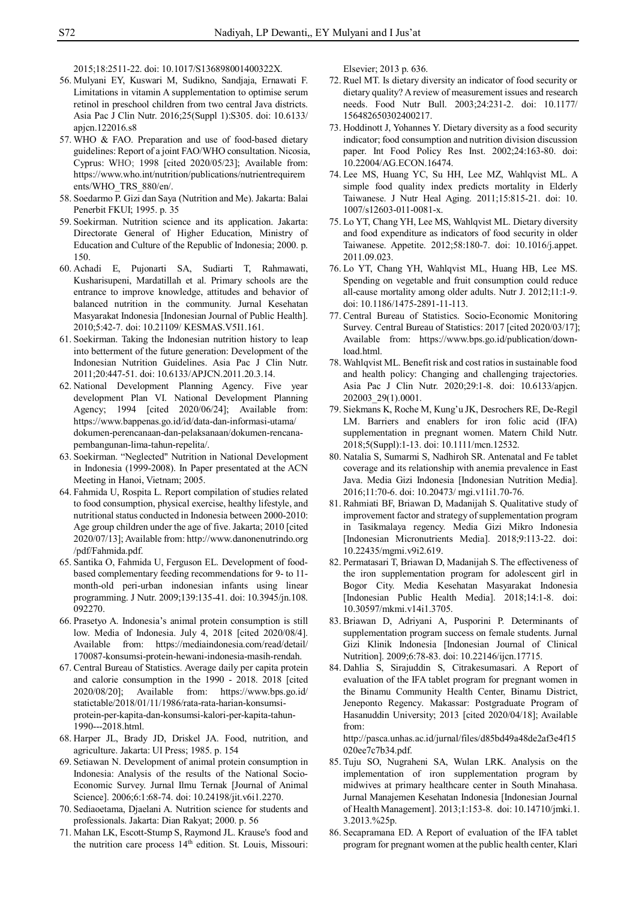2015;18:2511-22. doi: 10.1017/S136898001400322X.

- 56. Mulyani EY, Kuswari M, Sudikno, Sandjaja, Ernawati F. Limitations in vitamin A supplementation to optimise serum retinol in preschool children from two central Java districts. Asia Pac J Clin Nutr. 2016;25(Suppl 1):S305. doi: 10.6133/ apjcn.122016.s8
- 57. WHO & FAO. Preparation and use of food-based dietary guidelines: Report of a joint FAO/WHO consultation. Nicosia, Cyprus: WHO; 1998 [cited 2020/05/23]; Available from: https://www.who.int/nutrition/publications/nutrientrequirem ents/WHO\_TRS\_880/en/.
- 58. Soedarmo P. Gizi dan Saya (Nutrition and Me). Jakarta: Balai Penerbit FKUI; 1995. p. 35
- 59. Soekirman. Nutrition science and its application. Jakarta: Directorate General of Higher Education, Ministry of Education and Culture of the Republic of Indonesia; 2000. p. 150.
- 60. Achadi E, Pujonarti SA, Sudiarti T, Rahmawati, Kusharisupeni, Mardatillah et al. Primary schools are the entrance to improve knowledge, attitudes and behavior of balanced nutrition in the community. Jurnal Kesehatan Masyarakat Indonesia [Indonesian Journal of Public Health]. 2010;5:42-7. doi: 10.21109/ KESMAS.V5I1.161.
- 61. Soekirman. Taking the Indonesian nutrition history to leap into betterment of the future generation: Development of the Indonesian Nutrition Guidelines. Asia Pac J Clin Nutr. 2011;20:447-51. doi: 10.6133/APJCN.2011.20.3.14.
- 62. National Development Planning Agency. Five year development Plan VI. National Development Planning Agency; 1994 [cited 2020/06/24]; Available from: https://www.bappenas.go.id/id/data-dan-informasi-utama/ dokumen-perencanaan-dan-pelaksanaan/dokumen-rencanapembangunan-lima-tahun-repelita/.
- 63. Soekirman. "Neglected" Nutrition in National Development in Indonesia (1999-2008). In Paper presentated at the ACN Meeting in Hanoi, Vietnam; 2005.
- 64. Fahmida U, Rospita L. Report compilation of studies related to food consumption, physical exercise, healthy lifestyle, and nutritional status conducted in Indonesia between 2000-2010: Age group children under the age of five. Jakarta; 2010 [cited 2020/07/13]; Available from: http://www.danonenutrindo.org /pdf/Fahmida.pdf.
- 65. Santika O, Fahmida U, Ferguson EL. Development of foodbased complementary feeding recommendations for 9- to 11 month-old peri-urban indonesian infants using linear programming. J Nutr. 2009;139:135-41. doi: 10.3945/jn.108. 092270.
- 66. Prasetyo A. Indonesia's animal protein consumption is still low. Media of Indonesia. July 4, 2018 [cited 2020/08/4]. Available from: https://mediaindonesia.com/read/detail/ 170087-konsumsi-protein-hewani-indonesia-masih-rendah.
- 67. Central Bureau of Statistics. Average daily per capita protein and calorie consumption in the 1990 - 2018. 2018 [cited 2020/08/20]; Available from: https://www.bps.go.id/ statictable/2018/01/11/1986/rata-rata-harian-konsumsiprotein-per-kapita-dan-konsumsi-kalori-per-kapita-tahun-1990---2018.html.
- 68. Harper JL, Brady JD, Driskel JA. Food, nutrition, and agriculture. Jakarta: UI Press; 1985. p. 154
- 69. Setiawan N. Development of animal protein consumption in Indonesia: Analysis of the results of the National Socio-Economic Survey. Jurnal Ilmu Ternak [Journal of Animal Science]. 2006;6:1:68-74. doi: 10.24198/jit.v6i1.2270.
- 70. Sediaoetama, Djaelani A. Nutrition science for students and professionals. Jakarta: Dian Rakyat; 2000. p. 56
- 71. Mahan LK, Escott-Stump S, Raymond JL. Krause's food and the nutrition care process 14<sup>th</sup> edition. St. Louis, Missouri:

Elsevier; 2013 p. 636.

- 72. Ruel MT. Is dietary diversity an indicator of food security or dietary quality? A review of measurement issues and research needs. Food Nutr Bull. 2003;24:231-2. doi: 10.1177/ 156482650302400217.
- 73. Hoddinott J, Yohannes Y. Dietary diversity as a food security indicator; food consumption and nutrition division discussion paper. Int Food Policy Res Inst. 2002;24:163-80. doi: 10.22004/AG.ECON.16474.
- 74. Lee MS, Huang YC, Su HH, Lee MZ, Wahlqvist ML. A simple food quality index predicts mortality in Elderly Taiwanese. J Nutr Heal Aging. 2011;15:815-21. doi: 10. 1007/s12603-011-0081-x.
- 75. Lo YT, Chang YH, Lee MS, Wahlqvist ML. Dietary diversity and food expenditure as indicators of food security in older Taiwanese. Appetite. 2012;58:180-7. doi: 10.1016/j.appet. 2011.09.023.
- 76. Lo YT, Chang YH, Wahlqvist ML, Huang HB, Lee MS. Spending on vegetable and fruit consumption could reduce all-cause mortality among older adults. Nutr J. 2012;11:1-9. doi: 10.1186/1475-2891-11-113.
- 77. Central Bureau of Statistics. Socio-Economic Monitoring Survey. Central Bureau of Statistics: 2017 [cited 2020/03/17]; Available from: https://www.bps.go.id/publication/download.html.
- 78. Wahlqvist ML. Benefit risk and cost ratios in sustainable food and health policy: Changing and challenging trajectories. Asia Pac J Clin Nutr. 2020;29:1-8. doi: 10.6133/apjcn. 202003\_29(1).0001.
- 79. Siekmans K, Roche M, Kung'u JK, Desrochers RE, De-Regil LM. Barriers and enablers for iron folic acid (IFA) supplementation in pregnant women. Matern Child Nutr. 2018;5(Suppl):1-13. doi: 10.1111/mcn.12532.
- 80. Natalia S, Sumarmi S, Nadhiroh SR. Antenatal and Fe tablet coverage and its relationship with anemia prevalence in East Java. Media Gizi Indonesia [Indonesian Nutrition Media]. 2016;11:70-6. doi: 10.20473/ mgi.v11i1.70-76.
- 81. Rahmiati BF, Briawan D, Madanijah S. Qualitative study of improvement factor and strategy of supplementation program in Tasikmalaya regency. Media Gizi Mikro Indonesia [Indonesian Micronutrients Media]. 2018;9:113-22. doi: 10.22435/mgmi.v9i2.619.
- 82. Permatasari T, Briawan D, Madanijah S. The effectiveness of the iron supplementation program for adolescent girl in Bogor City. Media Kesehatan Masyarakat Indonesia [Indonesian Public Health Media]. 2018;14:1-8. doi: 10.30597/mkmi.v14i1.3705.
- 83. Briawan D, Adriyani A, Pusporini P. Determinants of supplementation program success on female students. Jurnal Gizi Klinik Indonesia [Indonesian Journal of Clinical Nutrition]. 2009;6:78-83. doi: 10.22146/ijcn.17715.
- 84. Dahlia S, Sirajuddin S, Citrakesumasari. A Report of evaluation of the IFA tablet program for pregnant women in the Binamu Community Health Center, Binamu District, Jeneponto Regency. Makassar: Postgraduate Program of Hasanuddin University; 2013 [cited 2020/04/18]; Available from:

http://pasca.unhas.ac.id/jurnal/files/d85bd49a48de2af3e4f15 020ee7c7b34.pdf.

- 85. Tuju SO, Nugraheni SA, Wulan LRK. Analysis on the implementation of iron supplementation program by midwives at primary healthcare center in South Minahasa. Jurnal Manajemen Kesehatan Indonesia [Indonesian Journal of Health Management]. 2013;1:153-8. doi: 10.14710/jmki.1. 3.2013.%25p.
- 86. Secapramana ED. A Report of evaluation of the IFA tablet program for pregnant women at the public health center, Klari